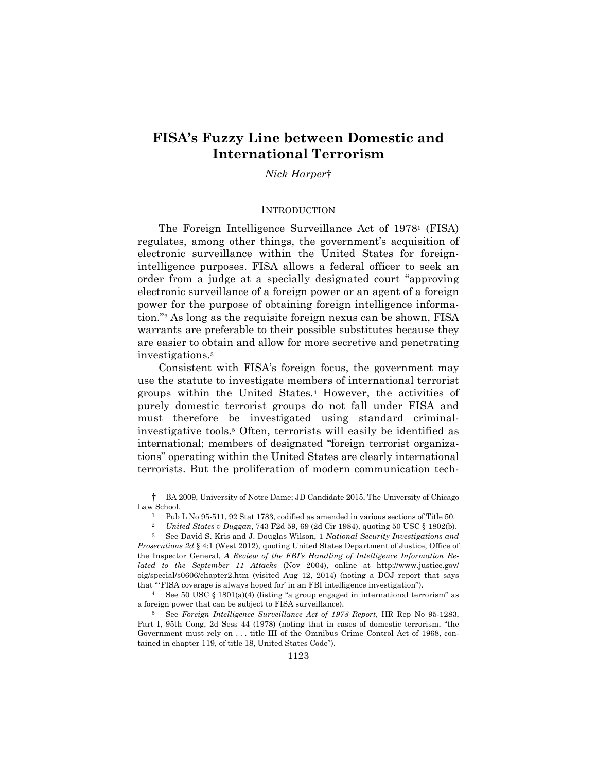# **FISA's Fuzzy Line between Domestic and International Terrorism**

*Nick Harper*†

### **INTRODUCTION**

The Foreign Intelligence Surveillance Act of 19781 (FISA) regulates, among other things, the government's acquisition of electronic surveillance within the United States for foreignintelligence purposes. FISA allows a federal officer to seek an order from a judge at a specially designated court "approving electronic surveillance of a foreign power or an agent of a foreign power for the purpose of obtaining foreign intelligence information."2 As long as the requisite foreign nexus can be shown, FISA warrants are preferable to their possible substitutes because they are easier to obtain and allow for more secretive and penetrating investigations.3

Consistent with FISA's foreign focus, the government may use the statute to investigate members of international terrorist groups within the United States.4 However, the activities of purely domestic terrorist groups do not fall under FISA and must therefore be investigated using standard criminalinvestigative tools.5 Often, terrorists will easily be identified as international; members of designated "foreign terrorist organizations" operating within the United States are clearly international terrorists. But the proliferation of modern communication tech-

<sup>†</sup> BA 2009, University of Notre Dame; JD Candidate 2015, The University of Chicago Law School.

<sup>&</sup>lt;sup>1</sup> Pub L No 95-511, 92 Stat 1783, codified as amended in various sections of Title 50.<br><sup>2</sup> *Linited States p Duggap* 743 F24 59 69 (2d Cir 1984), quoting 50 USC 8 1802(b)

<sup>2</sup> *United States v Duggan*, 743 F2d 59, 69 (2d Cir 1984), quoting 50 USC § 1802(b).

<sup>3</sup> See David S. Kris and J. Douglas Wilson, 1 *National Security Investigations and Prosecutions 2d* § 4:1 (West 2012), quoting United States Department of Justice, Office of the Inspector General, *A Review of the FBI's Handling of Intelligence Information Related to the September 11 Attacks* (Nov 2004), online at http://www.justice.gov/ oig/special/s0606/chapter2.htm (visited Aug 12, 2014) (noting a DOJ report that says that "'FISA coverage is always hoped for' in an FBI intelligence investigation").

<sup>4</sup> See 50 USC § 1801(a)(4) (listing "a group engaged in international terrorism" as a foreign power that can be subject to FISA surveillance).

<sup>5</sup> See *Foreign Intelligence Surveillance Act of 1978 Report*, HR Rep No 95-1283, Part I, 95th Cong, 2d Sess 44 (1978) (noting that in cases of domestic terrorism, "the Government must rely on . . . title III of the Omnibus Crime Control Act of 1968, contained in chapter 119, of title 18, United States Code").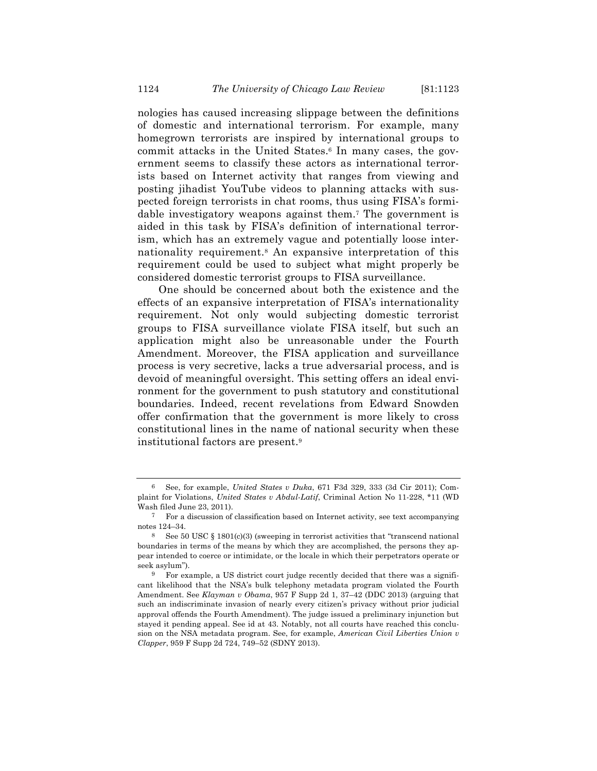nologies has caused increasing slippage between the definitions of domestic and international terrorism. For example, many homegrown terrorists are inspired by international groups to commit attacks in the United States.6 In many cases, the government seems to classify these actors as international terrorists based on Internet activity that ranges from viewing and posting jihadist YouTube videos to planning attacks with suspected foreign terrorists in chat rooms, thus using FISA's formidable investigatory weapons against them.7 The government is aided in this task by FISA's definition of international terrorism, which has an extremely vague and potentially loose internationality requirement.8 An expansive interpretation of this requirement could be used to subject what might properly be considered domestic terrorist groups to FISA surveillance.

One should be concerned about both the existence and the effects of an expansive interpretation of FISA's internationality requirement. Not only would subjecting domestic terrorist groups to FISA surveillance violate FISA itself, but such an application might also be unreasonable under the Fourth Amendment. Moreover, the FISA application and surveillance process is very secretive, lacks a true adversarial process, and is devoid of meaningful oversight. This setting offers an ideal environment for the government to push statutory and constitutional boundaries. Indeed, recent revelations from Edward Snowden offer confirmation that the government is more likely to cross constitutional lines in the name of national security when these institutional factors are present.9

<sup>6</sup> See, for example, *United States v Duka*, 671 F3d 329, 333 (3d Cir 2011); Complaint for Violations, *United States v Abdul-Latif*, Criminal Action No 11-228, \*11 (WD Wash filed June 23, 2011).

<sup>7</sup> For a discussion of classification based on Internet activity, see text accompanying notes 124–34.

<sup>8</sup> See 50 USC § 1801(c)(3) (sweeping in terrorist activities that "transcend national boundaries in terms of the means by which they are accomplished, the persons they appear intended to coerce or intimidate, or the locale in which their perpetrators operate or seek asylum").

<sup>9</sup> For example, a US district court judge recently decided that there was a significant likelihood that the NSA's bulk telephony metadata program violated the Fourth Amendment. See *Klayman v Obama*, 957 F Supp 2d 1, 37–42 (DDC 2013) (arguing that such an indiscriminate invasion of nearly every citizen's privacy without prior judicial approval offends the Fourth Amendment). The judge issued a preliminary injunction but stayed it pending appeal. See id at 43. Notably, not all courts have reached this conclusion on the NSA metadata program. See, for example, *American Civil Liberties Union v Clapper*, 959 F Supp 2d 724, 749–52 (SDNY 2013).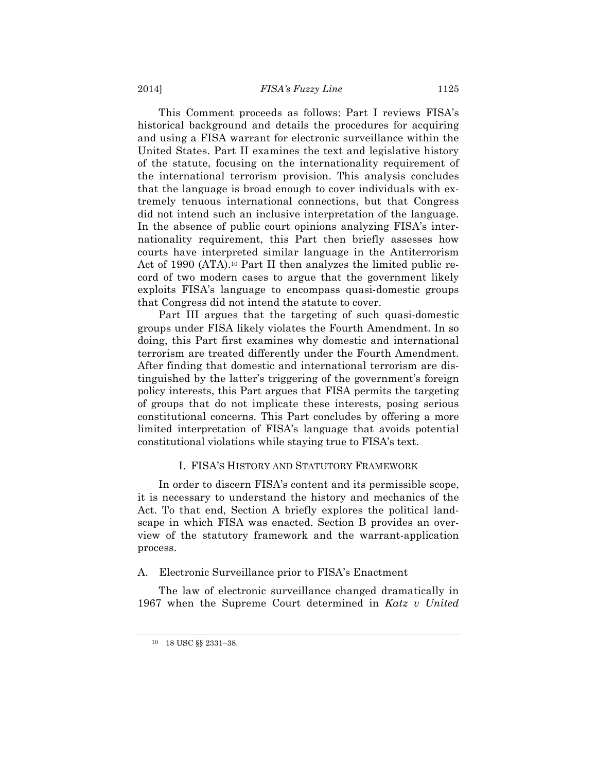This Comment proceeds as follows: Part I reviews FISA's historical background and details the procedures for acquiring and using a FISA warrant for electronic surveillance within the United States. Part II examines the text and legislative history of the statute, focusing on the internationality requirement of the international terrorism provision. This analysis concludes that the language is broad enough to cover individuals with extremely tenuous international connections, but that Congress did not intend such an inclusive interpretation of the language. In the absence of public court opinions analyzing FISA's internationality requirement, this Part then briefly assesses how courts have interpreted similar language in the Antiterrorism Act of 1990 (ATA).<sup>10</sup> Part II then analyzes the limited public record of two modern cases to argue that the government likely exploits FISA's language to encompass quasi-domestic groups that Congress did not intend the statute to cover.

Part III argues that the targeting of such quasi-domestic groups under FISA likely violates the Fourth Amendment. In so doing, this Part first examines why domestic and international terrorism are treated differently under the Fourth Amendment. After finding that domestic and international terrorism are distinguished by the latter's triggering of the government's foreign policy interests, this Part argues that FISA permits the targeting of groups that do not implicate these interests, posing serious constitutional concerns. This Part concludes by offering a more limited interpretation of FISA's language that avoids potential constitutional violations while staying true to FISA's text.

### I. FISA'S HISTORY AND STATUTORY FRAMEWORK

In order to discern FISA's content and its permissible scope, it is necessary to understand the history and mechanics of the Act. To that end, Section A briefly explores the political landscape in which FISA was enacted. Section B provides an overview of the statutory framework and the warrant-application process.

### A. Electronic Surveillance prior to FISA's Enactment

The law of electronic surveillance changed dramatically in 1967 when the Supreme Court determined in *Katz v United* 

<sup>10</sup> 18 USC §§ 2331–38.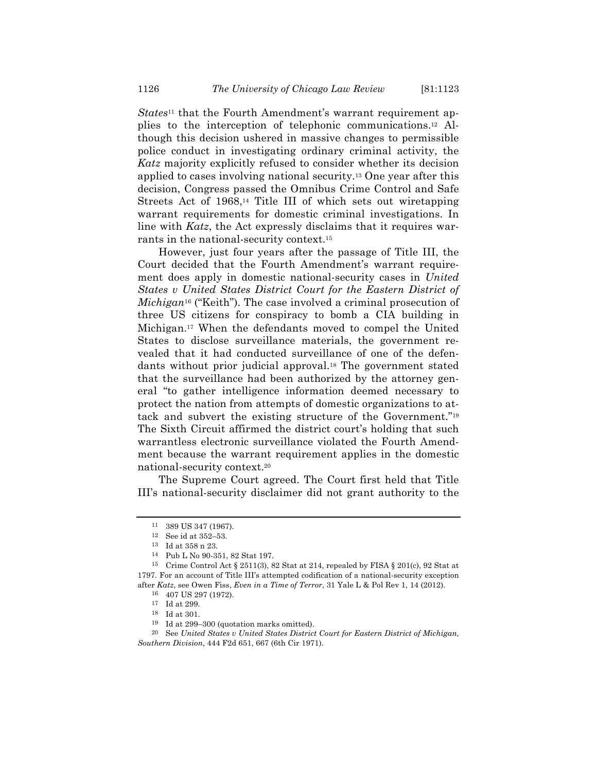*States*11 that the Fourth Amendment's warrant requirement applies to the interception of telephonic communications.12 Although this decision ushered in massive changes to permissible police conduct in investigating ordinary criminal activity, the *Katz* majority explicitly refused to consider whether its decision applied to cases involving national security.13 One year after this decision, Congress passed the Omnibus Crime Control and Safe Streets Act of 1968,14 Title III of which sets out wiretapping warrant requirements for domestic criminal investigations. In line with *Katz*, the Act expressly disclaims that it requires warrants in the national-security context.15

However, just four years after the passage of Title III, the Court decided that the Fourth Amendment's warrant requirement does apply in domestic national-security cases in *United States v United States District Court for the Eastern District of Michigan*<sup>16</sup> ("Keith"). The case involved a criminal prosecution of three US citizens for conspiracy to bomb a CIA building in Michigan.17 When the defendants moved to compel the United States to disclose surveillance materials, the government revealed that it had conducted surveillance of one of the defendants without prior judicial approval.18 The government stated that the surveillance had been authorized by the attorney general "to gather intelligence information deemed necessary to protect the nation from attempts of domestic organizations to attack and subvert the existing structure of the Government."19 The Sixth Circuit affirmed the district court's holding that such warrantless electronic surveillance violated the Fourth Amendment because the warrant requirement applies in the domestic national-security context.20

The Supreme Court agreed. The Court first held that Title III's national-security disclaimer did not grant authority to the

<sup>11</sup> 389 US 347 (1967).

<sup>12</sup> See id at 352–53.

<sup>13</sup> Id at 358 n 23.

<sup>14</sup> Pub L No 90-351, 82 Stat 197.

<sup>&</sup>lt;sup>15</sup> Crime Control Act § 2511(3), 82 Stat at 214, repealed by FISA § 201(c), 92 Stat at 1797. For an account of Title III's attempted codification of a national-security exception after *Katz*, see Owen Fiss, *Even in a Time of Terror*, 31 Yale L & Pol Rev 1, 14 (2012).

<sup>16</sup> 407 US 297 (1972).

<sup>17</sup> Id at 299.

<sup>18</sup> Id at 301.

<sup>19</sup> Id at 299–300 (quotation marks omitted).

<sup>20</sup> See *United States v United States District Court for Eastern District of Michigan, Southern Division*, 444 F2d 651, 667 (6th Cir 1971).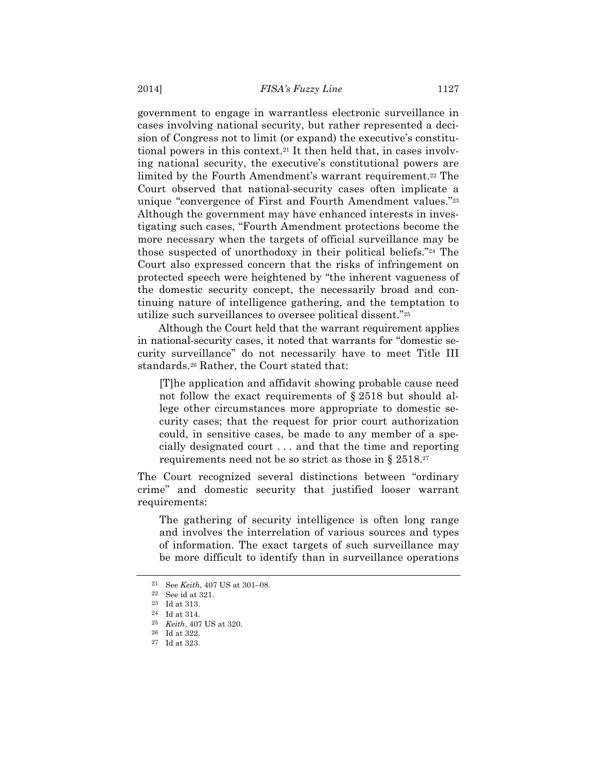government to engage in warrantless electronic surveillance in cases involving national security, but rather represented a decision of Congress not to limit (or expand) the executive's constitutional powers in this context.21 It then held that, in cases involving national security, the executive's constitutional powers are limited by the Fourth Amendment's warrant requirement.22 The Court observed that national-security cases often implicate a unique "convergence of First and Fourth Amendment values."23 Although the government may have enhanced interests in investigating such cases, "Fourth Amendment protections become the more necessary when the targets of official surveillance may be those suspected of unorthodoxy in their political beliefs."24 The Court also expressed concern that the risks of infringement on protected speech were heightened by "the inherent vagueness of the domestic security concept, the necessarily broad and continuing nature of intelligence gathering, and the temptation to utilize such surveillances to oversee political dissent."25

Although the Court held that the warrant requirement applies in national-security cases, it noted that warrants for "domestic security surveillance" do not necessarily have to meet Title III standards.26 Rather, the Court stated that:

[T]he application and affidavit showing probable cause need not follow the exact requirements of § 2518 but should allege other circumstances more appropriate to domestic security cases; that the request for prior court authorization could, in sensitive cases, be made to any member of a specially designated court . . . and that the time and reporting requirements need not be so strict as those in § 2518.<sup>27</sup>

The Court recognized several distinctions between "ordinary crime" and domestic security that justified looser warrant requirements:

The gathering of security intelligence is often long range and involves the interrelation of various sources and types of information. The exact targets of such surveillance may be more difficult to identify than in surveillance operations

<sup>21</sup> See *Keith*, 407 US at 301–08.

<sup>22</sup> See id at 321.

<sup>23</sup> Id at 313.

<sup>24</sup> Id at 314.

<sup>25</sup> *Keith*, 407 US at 320.

<sup>26</sup> Id at 322.

<sup>27</sup> Id at 323.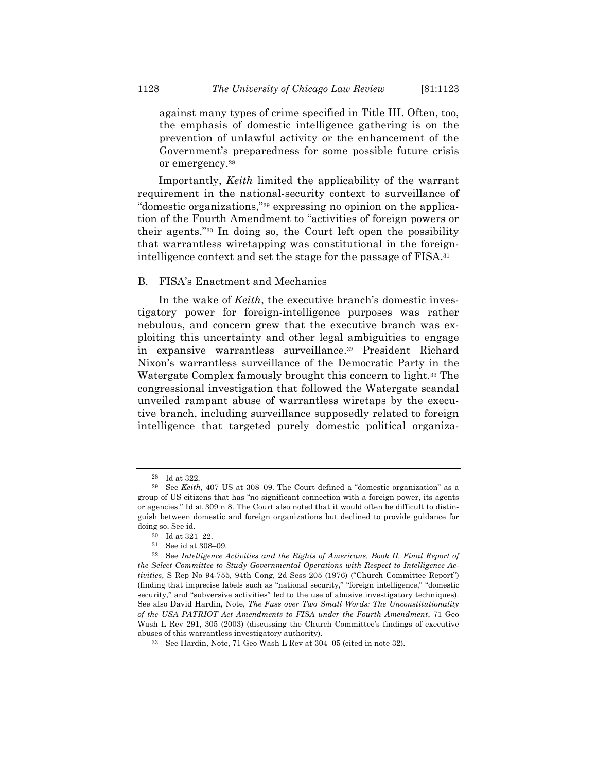against many types of crime specified in Title III. Often, too, the emphasis of domestic intelligence gathering is on the prevention of unlawful activity or the enhancement of the Government's preparedness for some possible future crisis or emergency.28

Importantly, *Keith* limited the applicability of the warrant requirement in the national-security context to surveillance of "domestic organizations,"29 expressing no opinion on the application of the Fourth Amendment to "activities of foreign powers or their agents."30 In doing so, the Court left open the possibility that warrantless wiretapping was constitutional in the foreignintelligence context and set the stage for the passage of FISA.31

### B. FISA's Enactment and Mechanics

In the wake of *Keith*, the executive branch's domestic investigatory power for foreign-intelligence purposes was rather nebulous, and concern grew that the executive branch was exploiting this uncertainty and other legal ambiguities to engage in expansive warrantless surveillance.32 President Richard Nixon's warrantless surveillance of the Democratic Party in the Watergate Complex famously brought this concern to light.33 The congressional investigation that followed the Watergate scandal unveiled rampant abuse of warrantless wiretaps by the executive branch, including surveillance supposedly related to foreign intelligence that targeted purely domestic political organiza-

<sup>28</sup> Id at 322.

<sup>29</sup> See *Keith*, 407 US at 308–09. The Court defined a "domestic organization" as a group of US citizens that has "no significant connection with a foreign power, its agents or agencies." Id at 309 n 8. The Court also noted that it would often be difficult to distinguish between domestic and foreign organizations but declined to provide guidance for doing so. See id.

<sup>30</sup> Id at 321–22.

<sup>31</sup> See id at 308–09.

<sup>32</sup> See *Intelligence Activities and the Rights of Americans, Book II, Final Report of the Select Committee to Study Governmental Operations with Respect to Intelligence Activities*, S Rep No 94-755, 94th Cong, 2d Sess 205 (1976) ("Church Committee Report") (finding that imprecise labels such as "national security," "foreign intelligence," "domestic security," and "subversive activities" led to the use of abusive investigatory techniques). See also David Hardin, Note, *The Fuss over Two Small Words: The Unconstitutionality of the USA PATRIOT Act Amendments to FISA under the Fourth Amendment*, 71 Geo Wash L Rev 291, 305 (2003) (discussing the Church Committee's findings of executive abuses of this warrantless investigatory authority).

<sup>33</sup> See Hardin, Note, 71 Geo Wash L Rev at 304–05 (cited in note 32).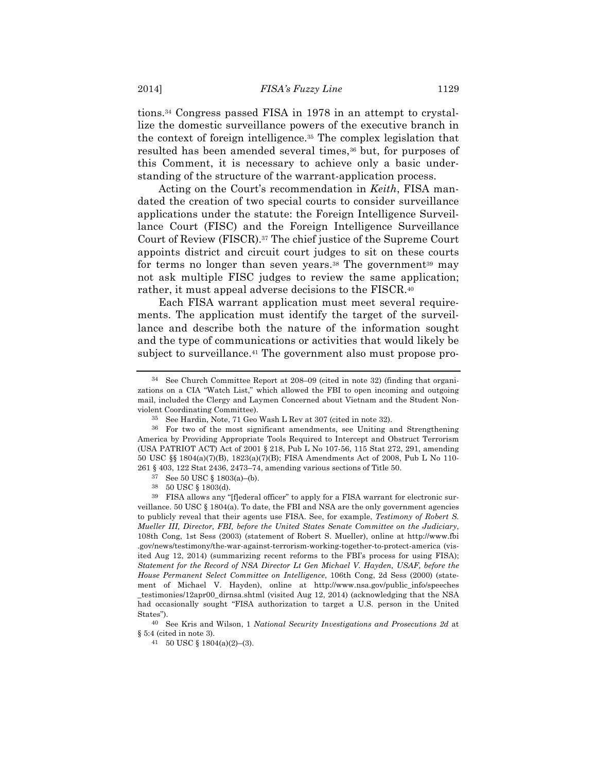tions.34 Congress passed FISA in 1978 in an attempt to crystallize the domestic surveillance powers of the executive branch in the context of foreign intelligence.35 The complex legislation that resulted has been amended several times,<sup>36</sup> but, for purposes of this Comment, it is necessary to achieve only a basic understanding of the structure of the warrant-application process.

Acting on the Court's recommendation in *Keith*, FISA mandated the creation of two special courts to consider surveillance applications under the statute: the Foreign Intelligence Surveillance Court (FISC) and the Foreign Intelligence Surveillance Court of Review (FISCR).37 The chief justice of the Supreme Court appoints district and circuit court judges to sit on these courts for terms no longer than seven years.<sup>38</sup> The government<sup>39</sup> may not ask multiple FISC judges to review the same application; rather, it must appeal adverse decisions to the FISCR.40

Each FISA warrant application must meet several requirements. The application must identify the target of the surveillance and describe both the nature of the information sought and the type of communications or activities that would likely be subject to surveillance.41 The government also must propose pro-

<sup>34</sup> See Church Committee Report at 208–09 (cited in note 32) (finding that organizations on a CIA "Watch List," which allowed the FBI to open incoming and outgoing mail, included the Clergy and Laymen Concerned about Vietnam and the Student Nonviolent Coordinating Committee).

<sup>35</sup> See Hardin, Note, 71 Geo Wash L Rev at 307 (cited in note 32).

<sup>36</sup> For two of the most significant amendments, see Uniting and Strengthening America by Providing Appropriate Tools Required to Intercept and Obstruct Terrorism (USA PATRIOT ACT) Act of 2001 § 218, Pub L No 107-56, 115 Stat 272, 291, amending 50 USC §§ 1804(a)(7)(B), 1823(a)(7)(B); FISA Amendments Act of 2008, Pub L No 110- 261 § 403, 122 Stat 2436, 2473–74, amending various sections of Title 50.

<sup>37</sup> See 50 USC § 1803(a)–(b).

<sup>38</sup> 50 USC § 1803(d).

 $^{39}\;$  FISA allows any "[f]ederal officer" to apply for a FISA warrant for electronic surveillance. 50 USC  $\S$  1804(a). To date, the FBI and NSA are the only government agencies to publicly reveal that their agents use FISA. See, for example, *Testimony of Robert S. Mueller III, Director, FBI, before the United States Senate Committee on the Judiciary*, 108th Cong, 1st Sess (2003) (statement of Robert S. Mueller), online at http://www.fbi .gov/news/testimony/the-war-against-terrorism-working-together-to-protect-america (visited Aug 12, 2014) (summarizing recent reforms to the FBI's process for using FISA); *Statement for the Record of NSA Director Lt Gen Michael V. Hayden, USAF, before the House Permanent Select Committee on Intelligence*, 106th Cong, 2d Sess (2000) (statement of Michael V. Hayden), online at http://www.nsa.gov/public\_info/speeches \_testimonies/12apr00\_dirnsa.shtml (visited Aug 12, 2014) (acknowledging that the NSA had occasionally sought "FISA authorization to target a U.S. person in the United States").

<sup>40</sup> See Kris and Wilson, 1 *National Security Investigations and Prosecutions 2d* at § 5:4 (cited in note 3).

<sup>41</sup> 50 USC § 1804(a)(2)–(3).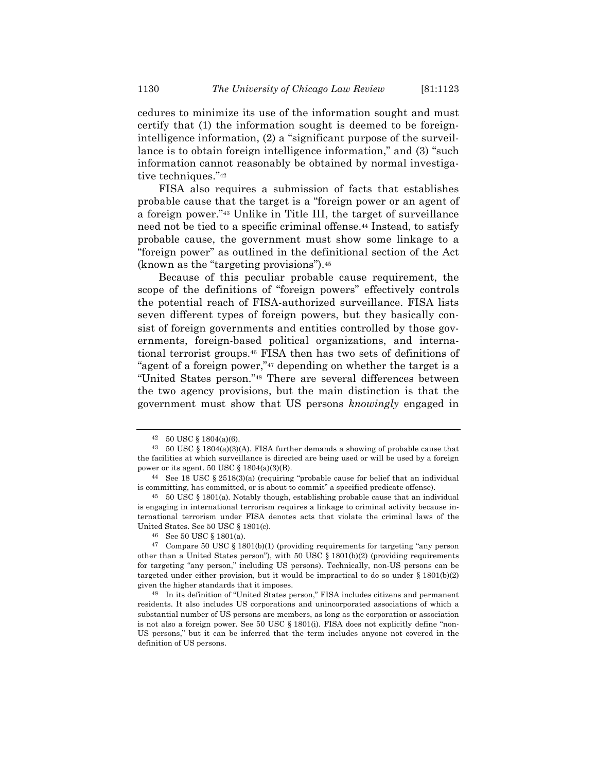cedures to minimize its use of the information sought and must certify that (1) the information sought is deemed to be foreignintelligence information, (2) a "significant purpose of the surveillance is to obtain foreign intelligence information," and (3) "such information cannot reasonably be obtained by normal investigative techniques."42

FISA also requires a submission of facts that establishes probable cause that the target is a "foreign power or an agent of a foreign power."43 Unlike in Title III, the target of surveillance need not be tied to a specific criminal offense.44 Instead, to satisfy probable cause, the government must show some linkage to a "foreign power" as outlined in the definitional section of the Act (known as the "targeting provisions").45

Because of this peculiar probable cause requirement, the scope of the definitions of "foreign powers" effectively controls the potential reach of FISA-authorized surveillance. FISA lists seven different types of foreign powers, but they basically consist of foreign governments and entities controlled by those governments, foreign-based political organizations, and international terrorist groups.46 FISA then has two sets of definitions of "agent of a foreign power,"47 depending on whether the target is a "United States person."48 There are several differences between the two agency provisions, but the main distinction is that the government must show that US persons *knowingly* engaged in

45 50 USC § 1801(a). Notably though, establishing probable cause that an individual is engaging in international terrorism requires a linkage to criminal activity because international terrorism under FISA denotes acts that violate the criminal laws of the United States. See 50 USC § 1801(c).

 $42\quad 50 \text{ USC} \$ § 1804(a)(6).

<sup>43</sup> 50 USC § 1804(a)(3)(A). FISA further demands a showing of probable cause that the facilities at which surveillance is directed are being used or will be used by a foreign power or its agent. 50 USC  $\S$  1804(a)(3)(B).

<sup>44</sup> See 18 USC § 2518(3)(a) (requiring "probable cause for belief that an individual is committing, has committed, or is about to commit" a specified predicate offense).

<sup>46</sup> See 50 USC § 1801(a).

<sup>47</sup> Compare 50 USC § 1801(b)(1) (providing requirements for targeting "any person other than a United States person"), with 50 USC  $\S$  1801(b)(2) (providing requirements for targeting "any person," including US persons). Technically, non-US persons can be targeted under either provision, but it would be impractical to do so under  $\S 1801(b)(2)$ given the higher standards that it imposes.

<sup>48</sup> In its definition of "United States person," FISA includes citizens and permanent residents. It also includes US corporations and unincorporated associations of which a substantial number of US persons are members, as long as the corporation or association is not also a foreign power. See 50 USC § 1801(i). FISA does not explicitly define "non-US persons," but it can be inferred that the term includes anyone not covered in the definition of US persons.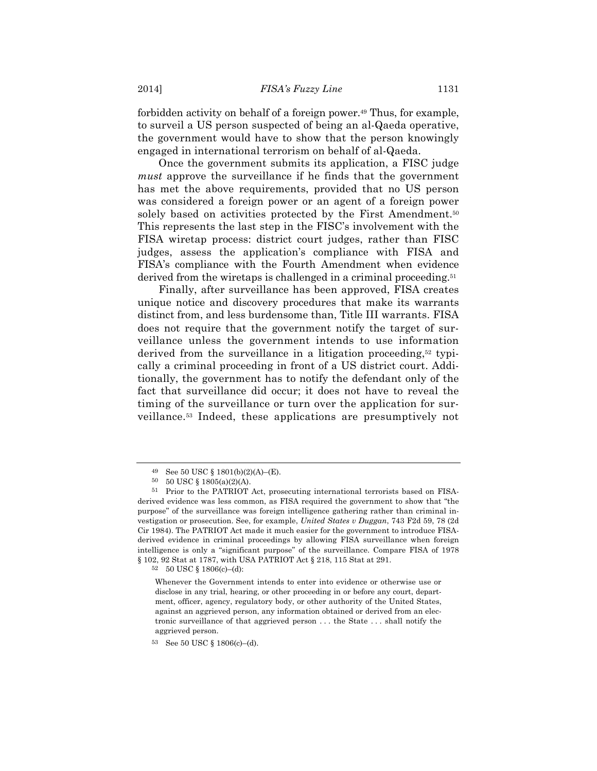forbidden activity on behalf of a foreign power.49 Thus, for example, to surveil a US person suspected of being an al-Qaeda operative, the government would have to show that the person knowingly engaged in international terrorism on behalf of al-Qaeda.

Once the government submits its application, a FISC judge *must* approve the surveillance if he finds that the government has met the above requirements, provided that no US person was considered a foreign power or an agent of a foreign power solely based on activities protected by the First Amendment.<sup>50</sup> This represents the last step in the FISC's involvement with the FISA wiretap process: district court judges, rather than FISC judges, assess the application's compliance with FISA and FISA's compliance with the Fourth Amendment when evidence derived from the wiretaps is challenged in a criminal proceeding.51

Finally, after surveillance has been approved, FISA creates unique notice and discovery procedures that make its warrants distinct from, and less burdensome than, Title III warrants. FISA does not require that the government notify the target of surveillance unless the government intends to use information derived from the surveillance in a litigation proceeding,52 typically a criminal proceeding in front of a US district court. Additionally, the government has to notify the defendant only of the fact that surveillance did occur; it does not have to reveal the timing of the surveillance or turn over the application for surveillance.53 Indeed, these applications are presumptively not

52 50 USC § 1806(c)–(d):

<sup>49</sup> See 50 USC § 1801(b)(2)(A)–(E).

<sup>50</sup> 50 USC § 1805(a)(2)(A).

<sup>51</sup> Prior to the PATRIOT Act, prosecuting international terrorists based on FISAderived evidence was less common, as FISA required the government to show that "the purpose" of the surveillance was foreign intelligence gathering rather than criminal investigation or prosecution. See, for example, *United States v Duggan*, 743 F2d 59, 78 (2d Cir 1984). The PATRIOT Act made it much easier for the government to introduce FISAderived evidence in criminal proceedings by allowing FISA surveillance when foreign intelligence is only a "significant purpose" of the surveillance. Compare FISA of 1978 § 102, 92 Stat at 1787, with USA PATRIOT Act § 218, 115 Stat at 291.

Whenever the Government intends to enter into evidence or otherwise use or disclose in any trial, hearing, or other proceeding in or before any court, department, officer, agency, regulatory body, or other authority of the United States, against an aggrieved person, any information obtained or derived from an electronic surveillance of that aggrieved person . . . the State . . . shall notify the aggrieved person.

<sup>53</sup> See 50 USC § 1806(c)–(d).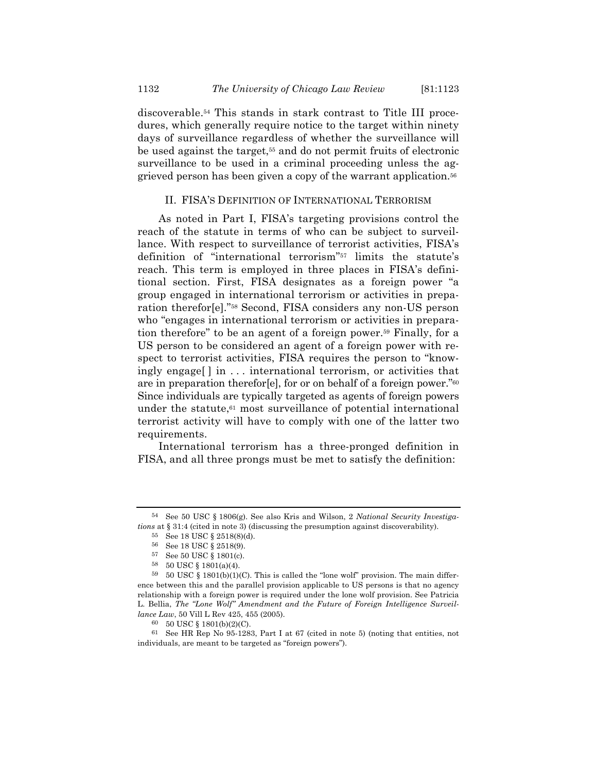discoverable.54 This stands in stark contrast to Title III procedures, which generally require notice to the target within ninety days of surveillance regardless of whether the surveillance will be used against the target,55 and do not permit fruits of electronic surveillance to be used in a criminal proceeding unless the aggrieved person has been given a copy of the warrant application.56

### II. FISA'S DEFINITION OF INTERNATIONAL TERRORISM

As noted in Part I, FISA's targeting provisions control the reach of the statute in terms of who can be subject to surveillance. With respect to surveillance of terrorist activities, FISA's definition of "international terrorism"57 limits the statute's reach. This term is employed in three places in FISA's definitional section. First, FISA designates as a foreign power "a group engaged in international terrorism or activities in preparation therefor[e]."58 Second, FISA considers any non-US person who "engages in international terrorism or activities in preparation therefore" to be an agent of a foreign power.59 Finally, for a US person to be considered an agent of a foreign power with respect to terrorist activities, FISA requires the person to "knowingly engage[ ] in . . . international terrorism, or activities that are in preparation therefor[e], for or on behalf of a foreign power."60 Since individuals are typically targeted as agents of foreign powers under the statute, $61 \text{ most surveillance of potential international}$ terrorist activity will have to comply with one of the latter two requirements.

International terrorism has a three-pronged definition in FISA, and all three prongs must be met to satisfy the definition:

<sup>54</sup> See 50 USC § 1806(g). See also Kris and Wilson, 2 *National Security Investigations* at § 31:4 (cited in note 3) (discussing the presumption against discoverability).

<sup>55</sup> See 18 USC § 2518(8)(d).

 $56$  See 18 USC  $\S$  2518(9).

<sup>57</sup> See 50 USC § 1801(c).

<sup>58</sup> 50 USC § 1801(a)(4).

 $59\quad 50$  USC  $\S$  1801(b)(1)(C). This is called the "lone wolf" provision. The main difference between this and the parallel provision applicable to US persons is that no agency relationship with a foreign power is required under the lone wolf provision. See Patricia L. Bellia, *The "Lone Wolf" Amendment and the Future of Foreign Intelligence Surveillance Law*, 50 Vill L Rev 425, 455 (2005).

<sup>60</sup> 50 USC § 1801(b)(2)(C).

<sup>61</sup> See HR Rep No 95-1283, Part I at 67 (cited in note 5) (noting that entities, not individuals, are meant to be targeted as "foreign powers").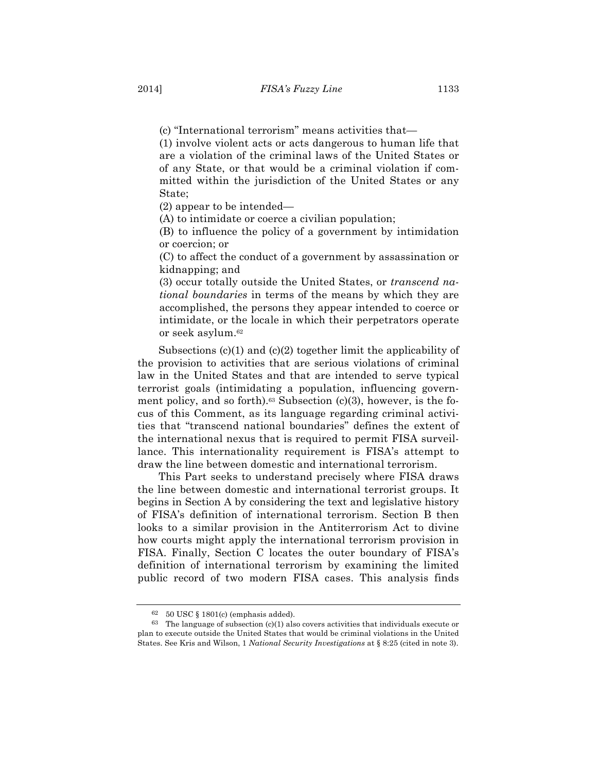(c) "International terrorism" means activities that—

(1) involve violent acts or acts dangerous to human life that are a violation of the criminal laws of the United States or of any State, or that would be a criminal violation if committed within the jurisdiction of the United States or any State;

(2) appear to be intended—

(A) to intimidate or coerce a civilian population;

(B) to influence the policy of a government by intimidation or coercion; or

(C) to affect the conduct of a government by assassination or kidnapping; and

(3) occur totally outside the United States, or *transcend national boundaries* in terms of the means by which they are accomplished, the persons they appear intended to coerce or intimidate, or the locale in which their perpetrators operate or seek asylum.62

Subsections (c)(1) and (c)(2) together limit the applicability of the provision to activities that are serious violations of criminal law in the United States and that are intended to serve typical terrorist goals (intimidating a population, influencing government policy, and so forth).<sup>63</sup> Subsection (c)(3), however, is the focus of this Comment, as its language regarding criminal activities that "transcend national boundaries" defines the extent of the international nexus that is required to permit FISA surveillance. This internationality requirement is FISA's attempt to draw the line between domestic and international terrorism.

This Part seeks to understand precisely where FISA draws the line between domestic and international terrorist groups. It begins in Section A by considering the text and legislative history of FISA's definition of international terrorism. Section B then looks to a similar provision in the Antiterrorism Act to divine how courts might apply the international terrorism provision in FISA. Finally, Section C locates the outer boundary of FISA's definition of international terrorism by examining the limited public record of two modern FISA cases. This analysis finds

 $62$  50 USC § 1801(c) (emphasis added).

 $63$  The language of subsection (c)(1) also covers activities that individuals execute or plan to execute outside the United States that would be criminal violations in the United States. See Kris and Wilson, 1 *National Security Investigations* at § 8:25 (cited in note 3).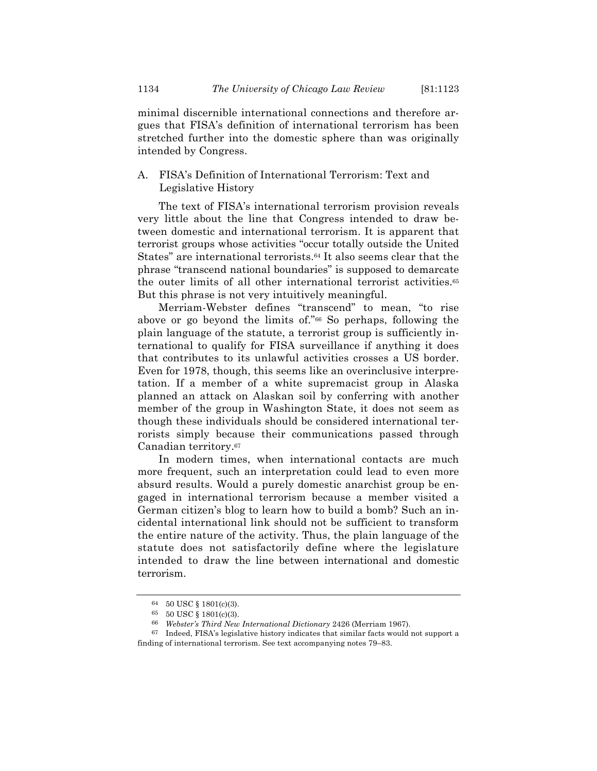minimal discernible international connections and therefore argues that FISA's definition of international terrorism has been stretched further into the domestic sphere than was originally intended by Congress.

### A. FISA's Definition of International Terrorism: Text and Legislative History

The text of FISA's international terrorism provision reveals very little about the line that Congress intended to draw between domestic and international terrorism. It is apparent that terrorist groups whose activities "occur totally outside the United States" are international terrorists.<sup>64</sup> It also seems clear that the phrase "transcend national boundaries" is supposed to demarcate the outer limits of all other international terrorist activities.65 But this phrase is not very intuitively meaningful.

Merriam-Webster defines "transcend" to mean, "to rise above or go beyond the limits of."66 So perhaps, following the plain language of the statute, a terrorist group is sufficiently international to qualify for FISA surveillance if anything it does that contributes to its unlawful activities crosses a US border. Even for 1978, though, this seems like an overinclusive interpretation. If a member of a white supremacist group in Alaska planned an attack on Alaskan soil by conferring with another member of the group in Washington State, it does not seem as though these individuals should be considered international terrorists simply because their communications passed through Canadian territory.67

In modern times, when international contacts are much more frequent, such an interpretation could lead to even more absurd results. Would a purely domestic anarchist group be engaged in international terrorism because a member visited a German citizen's blog to learn how to build a bomb? Such an incidental international link should not be sufficient to transform the entire nature of the activity. Thus, the plain language of the statute does not satisfactorily define where the legislature intended to draw the line between international and domestic terrorism.

<sup>64</sup> 50 USC § 1801(c)(3).

<sup>65</sup> 50 USC § 1801(c)(3).

<sup>66</sup> *Webster's Third New International Dictionary* 2426 (Merriam 1967).

<sup>67</sup> Indeed, FISA's legislative history indicates that similar facts would not support a finding of international terrorism. See text accompanying notes 79–83.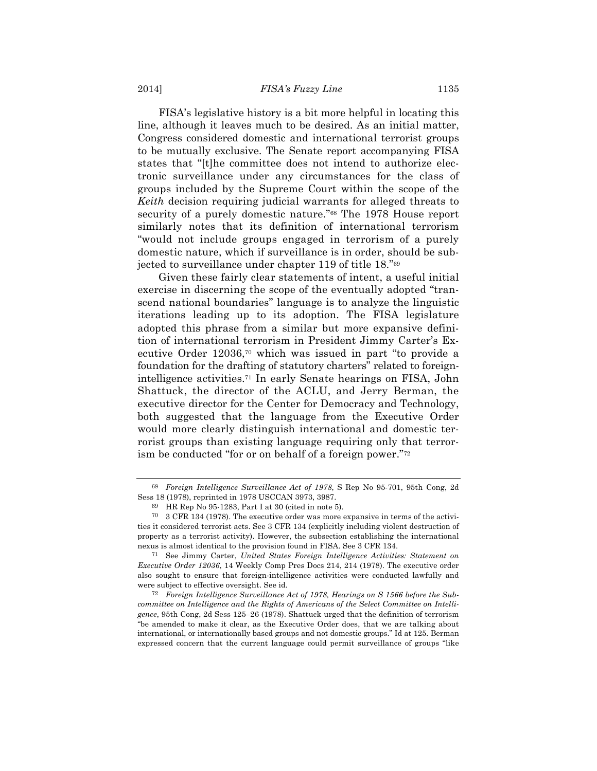#### 2014] *FISA's Fuzzy Line* 1135

FISA's legislative history is a bit more helpful in locating this line, although it leaves much to be desired. As an initial matter, Congress considered domestic and international terrorist groups to be mutually exclusive. The Senate report accompanying FISA states that "[t]he committee does not intend to authorize electronic surveillance under any circumstances for the class of groups included by the Supreme Court within the scope of the *Keith* decision requiring judicial warrants for alleged threats to security of a purely domestic nature."<sup>68</sup> The 1978 House report similarly notes that its definition of international terrorism "would not include groups engaged in terrorism of a purely domestic nature, which if surveillance is in order, should be subjected to surveillance under chapter 119 of title 18."69

Given these fairly clear statements of intent, a useful initial exercise in discerning the scope of the eventually adopted "transcend national boundaries" language is to analyze the linguistic iterations leading up to its adoption. The FISA legislature adopted this phrase from a similar but more expansive definition of international terrorism in President Jimmy Carter's Executive Order 12036,70 which was issued in part "to provide a foundation for the drafting of statutory charters" related to foreignintelligence activities.71 In early Senate hearings on FISA, John Shattuck, the director of the ACLU, and Jerry Berman, the executive director for the Center for Democracy and Technology, both suggested that the language from the Executive Order would more clearly distinguish international and domestic terrorist groups than existing language requiring only that terrorism be conducted "for or on behalf of a foreign power."72

<sup>68</sup> *Foreign Intelligence Surveillance Act of 1978*, S Rep No 95-701, 95th Cong, 2d Sess 18 (1978), reprinted in 1978 USCCAN 3973, 3987.

<sup>69</sup> HR Rep No 95-1283, Part I at 30 (cited in note 5).

<sup>70</sup> 3 CFR 134 (1978). The executive order was more expansive in terms of the activities it considered terrorist acts. See 3 CFR 134 (explicitly including violent destruction of property as a terrorist activity). However, the subsection establishing the international nexus is almost identical to the provision found in FISA. See 3 CFR 134.

<sup>71</sup> See Jimmy Carter, *United States Foreign Intelligence Activities: Statement on Executive Order 12036*, 14 Weekly Comp Pres Docs 214, 214 (1978). The executive order also sought to ensure that foreign-intelligence activities were conducted lawfully and were subject to effective oversight. See id.

<sup>72</sup> *Foreign Intelligence Surveillance Act of 1978, Hearings on S 1566 before the Subcommittee on Intelligence and the Rights of Americans of the Select Committee on Intelligence*, 95th Cong, 2d Sess 125–26 (1978). Shattuck urged that the definition of terrorism "be amended to make it clear, as the Executive Order does, that we are talking about international, or internationally based groups and not domestic groups." Id at 125. Berman expressed concern that the current language could permit surveillance of groups "like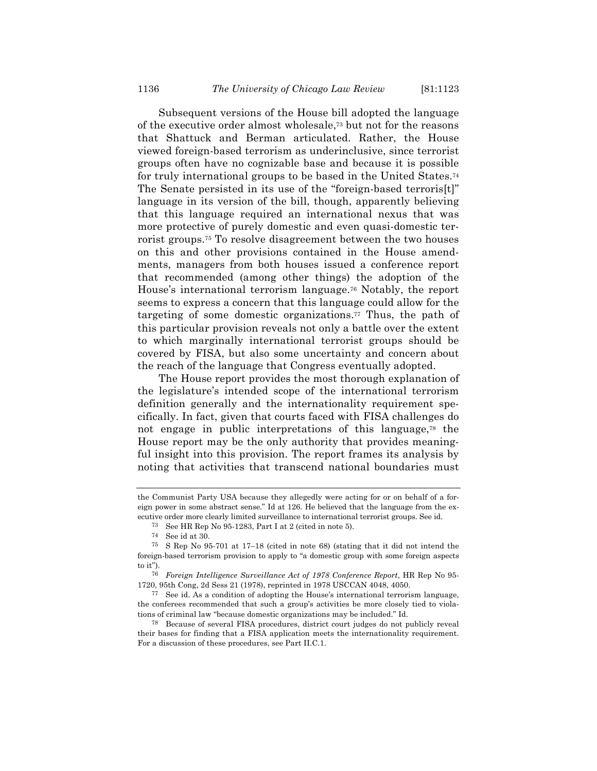Subsequent versions of the House bill adopted the language of the executive order almost wholesale,73 but not for the reasons that Shattuck and Berman articulated. Rather, the House viewed foreign-based terrorism as underinclusive, since terrorist groups often have no cognizable base and because it is possible for truly international groups to be based in the United States.74 The Senate persisted in its use of the "foreign-based terroris<sup>[t]"</sup> language in its version of the bill, though, apparently believing that this language required an international nexus that was more protective of purely domestic and even quasi-domestic terrorist groups.75 To resolve disagreement between the two houses on this and other provisions contained in the House amendments, managers from both houses issued a conference report that recommended (among other things) the adoption of the House's international terrorism language.76 Notably, the report seems to express a concern that this language could allow for the targeting of some domestic organizations.77 Thus, the path of this particular provision reveals not only a battle over the extent to which marginally international terrorist groups should be covered by FISA, but also some uncertainty and concern about the reach of the language that Congress eventually adopted.

The House report provides the most thorough explanation of the legislature's intended scope of the international terrorism definition generally and the internationality requirement specifically. In fact, given that courts faced with FISA challenges do not engage in public interpretations of this language,78 the House report may be the only authority that provides meaningful insight into this provision. The report frames its analysis by noting that activities that transcend national boundaries must

the Communist Party USA because they allegedly were acting for or on behalf of a foreign power in some abstract sense." Id at 126. He believed that the language from the executive order more clearly limited surveillance to international terrorist groups. See id.

<sup>73</sup> See HR Rep No 95-1283, Part I at 2 (cited in note 5).

<sup>74</sup> See id at 30.

<sup>75</sup> S Rep No 95-701 at 17–18 (cited in note 68) (stating that it did not intend the foreign-based terrorism provision to apply to "a domestic group with some foreign aspects to it").

<sup>76</sup> *Foreign Intelligence Surveillance Act of 1978 Conference Report*, HR Rep No 95- 1720, 95th Cong, 2d Sess 21 (1978), reprinted in 1978 USCCAN 4048, 4050.

<sup>77</sup> See id. As a condition of adopting the House's international terrorism language, the conferees recommended that such a group's activities be more closely tied to violations of criminal law "because domestic organizations may be included." Id.

<sup>78</sup> Because of several FISA procedures, district court judges do not publicly reveal their bases for finding that a FISA application meets the internationality requirement. For a discussion of these procedures, see Part II.C.1.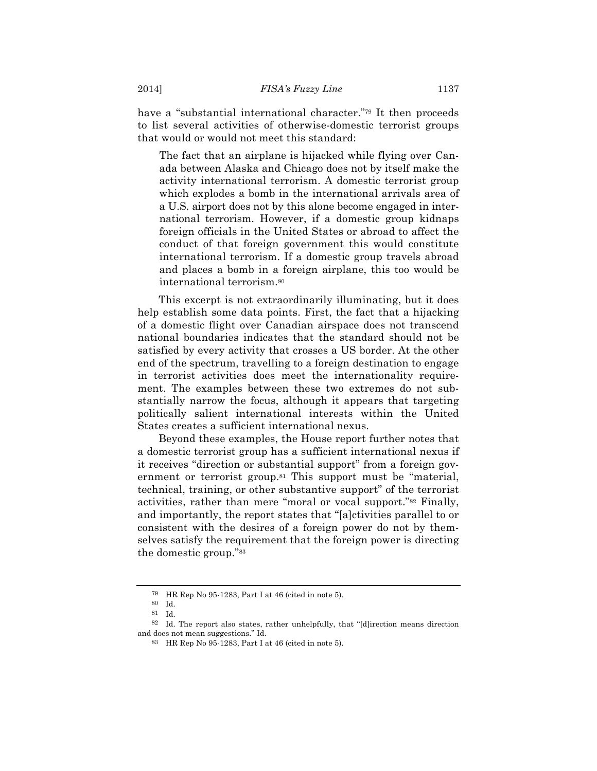have a "substantial international character."79 It then proceeds to list several activities of otherwise-domestic terrorist groups that would or would not meet this standard:

The fact that an airplane is hijacked while flying over Canada between Alaska and Chicago does not by itself make the activity international terrorism. A domestic terrorist group which explodes a bomb in the international arrivals area of a U.S. airport does not by this alone become engaged in international terrorism. However, if a domestic group kidnaps foreign officials in the United States or abroad to affect the conduct of that foreign government this would constitute international terrorism. If a domestic group travels abroad and places a bomb in a foreign airplane, this too would be international terrorism.80

This excerpt is not extraordinarily illuminating, but it does help establish some data points. First, the fact that a hijacking of a domestic flight over Canadian airspace does not transcend national boundaries indicates that the standard should not be satisfied by every activity that crosses a US border. At the other end of the spectrum, travelling to a foreign destination to engage in terrorist activities does meet the internationality requirement. The examples between these two extremes do not substantially narrow the focus, although it appears that targeting politically salient international interests within the United States creates a sufficient international nexus.

Beyond these examples, the House report further notes that a domestic terrorist group has a sufficient international nexus if it receives "direction or substantial support" from a foreign government or terrorist group.<sup>81</sup> This support must be "material, technical, training, or other substantive support" of the terrorist activities, rather than mere "moral or vocal support."82 Finally, and importantly, the report states that "[a]ctivities parallel to or consistent with the desires of a foreign power do not by themselves satisfy the requirement that the foreign power is directing the domestic group."83

<sup>79</sup> HR Rep No 95-1283, Part I at 46 (cited in note 5).

<sup>80</sup> Id.

<sup>81</sup> Id.

<sup>82</sup> Id. The report also states, rather unhelpfully, that "[d]irection means direction and does not mean suggestions." Id.

<sup>83</sup> HR Rep No 95-1283, Part I at 46 (cited in note 5).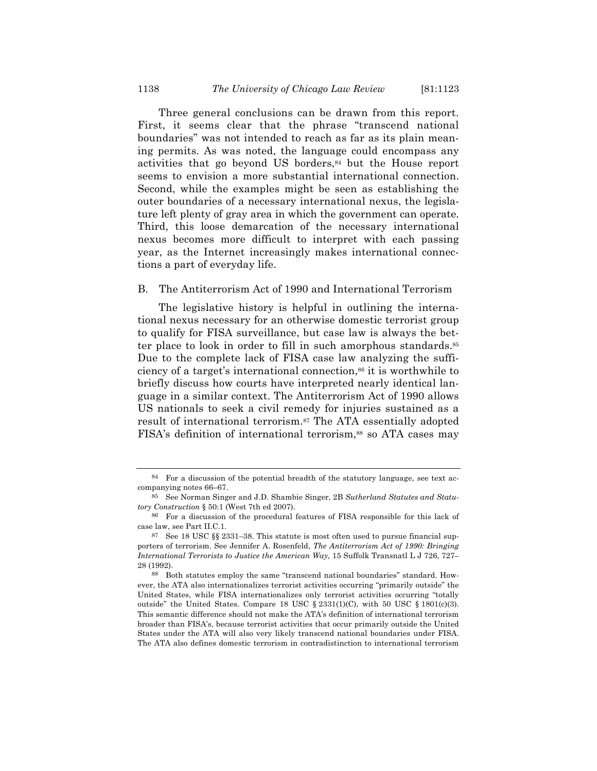Three general conclusions can be drawn from this report. First, it seems clear that the phrase "transcend national boundaries" was not intended to reach as far as its plain meaning permits. As was noted, the language could encompass any activities that go beyond US borders,84 but the House report seems to envision a more substantial international connection. Second, while the examples might be seen as establishing the outer boundaries of a necessary international nexus, the legislature left plenty of gray area in which the government can operate. Third, this loose demarcation of the necessary international nexus becomes more difficult to interpret with each passing year, as the Internet increasingly makes international connections a part of everyday life.

### B. The Antiterrorism Act of 1990 and International Terrorism

The legislative history is helpful in outlining the international nexus necessary for an otherwise domestic terrorist group to qualify for FISA surveillance, but case law is always the better place to look in order to fill in such amorphous standards.85 Due to the complete lack of FISA case law analyzing the sufficiency of a target's international connection,86 it is worthwhile to briefly discuss how courts have interpreted nearly identical language in a similar context. The Antiterrorism Act of 1990 allows US nationals to seek a civil remedy for injuries sustained as a result of international terrorism.87 The ATA essentially adopted FISA's definition of international terrorism,<sup>88</sup> so ATA cases may

<sup>84</sup> For a discussion of the potential breadth of the statutory language, see text accompanying notes 66–67.

<sup>85</sup> See Norman Singer and J.D. Shambie Singer, 2B *Sutherland Statutes and Statutory Construction* § 50:1 (West 7th ed 2007).

<sup>86</sup> For a discussion of the procedural features of FISA responsible for this lack of case law, see Part II.C.1.

<sup>87</sup> See 18 USC §§ 2331–38. This statute is most often used to pursue financial supporters of terrorism. See Jennifer A. Rosenfeld, *The Antiterrorism Act of 1990: Bringing International Terrorists to Justice the American Way*, 15 Suffolk Transnatl L J 726, 727– 28 (1992).

<sup>88</sup> Both statutes employ the same "transcend national boundaries" standard. However, the ATA also internationalizes terrorist activities occurring "primarily outside" the United States, while FISA internationalizes only terrorist activities occurring "totally outside" the United States. Compare 18 USC  $\S$  2331(1)(C), with 50 USC  $\S$  1801(c)(3). This semantic difference should not make the ATA's definition of international terrorism broader than FISA's, because terrorist activities that occur primarily outside the United States under the ATA will also very likely transcend national boundaries under FISA. The ATA also defines domestic terrorism in contradistinction to international terrorism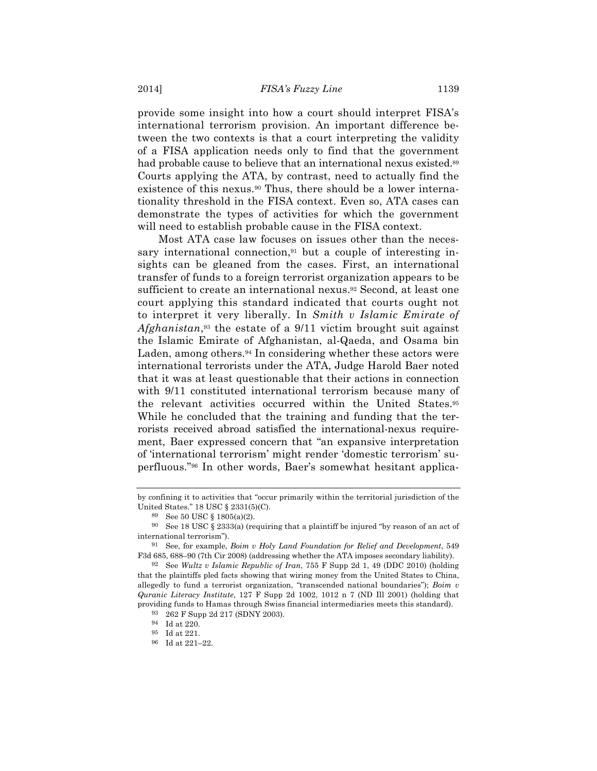provide some insight into how a court should interpret FISA's international terrorism provision. An important difference between the two contexts is that a court interpreting the validity of a FISA application needs only to find that the government had probable cause to believe that an international nexus existed.<sup>89</sup> Courts applying the ATA, by contrast, need to actually find the existence of this nexus.90 Thus, there should be a lower internationality threshold in the FISA context. Even so, ATA cases can demonstrate the types of activities for which the government will need to establish probable cause in the FISA context.

Most ATA case law focuses on issues other than the necessary international connection, $91$  but a couple of interesting insights can be gleaned from the cases. First, an international transfer of funds to a foreign terrorist organization appears to be sufficient to create an international nexus.<sup>92</sup> Second, at least one court applying this standard indicated that courts ought not to interpret it very liberally. In *Smith v Islamic Emirate of Afghanistan*,93 the estate of a 9/11 victim brought suit against the Islamic Emirate of Afghanistan, al-Qaeda, and Osama bin Laden, among others.<sup>94</sup> In considering whether these actors were international terrorists under the ATA, Judge Harold Baer noted that it was at least questionable that their actions in connection with 9/11 constituted international terrorism because many of the relevant activities occurred within the United States.95 While he concluded that the training and funding that the terrorists received abroad satisfied the international-nexus requirement, Baer expressed concern that "an expansive interpretation of 'international terrorism' might render 'domestic terrorism' superfluous."96 In other words, Baer's somewhat hesitant applica-

by confining it to activities that "occur primarily within the territorial jurisdiction of the United States." 18 USC § 2331(5)(C).

<sup>89</sup> See 50 USC § 1805(a)(2).

<sup>&</sup>lt;sup>90</sup> See 18 USC § 2333(a) (requiring that a plaintiff be injured "by reason of an act of international terrorism").

<sup>91</sup> See, for example, *Boim v Holy Land Foundation for Relief and Development*, 549 F3d 685, 688–90 (7th Cir 2008) (addressing whether the ATA imposes secondary liability).

<sup>92</sup> See *Wultz v Islamic Republic of Iran*, 755 F Supp 2d 1, 49 (DDC 2010) (holding that the plaintiffs pled facts showing that wiring money from the United States to China, allegedly to fund a terrorist organization, "transcended national boundaries"); *Boim v Quranic Literacy Institute*, 127 F Supp 2d 1002, 1012 n 7 (ND Ill 2001) (holding that providing funds to Hamas through Swiss financial intermediaries meets this standard).

<sup>93</sup> 262 F Supp 2d 217 (SDNY 2003).

<sup>94</sup> Id at 220.

<sup>95</sup> Id at 221.

<sup>96</sup> Id at 221–22.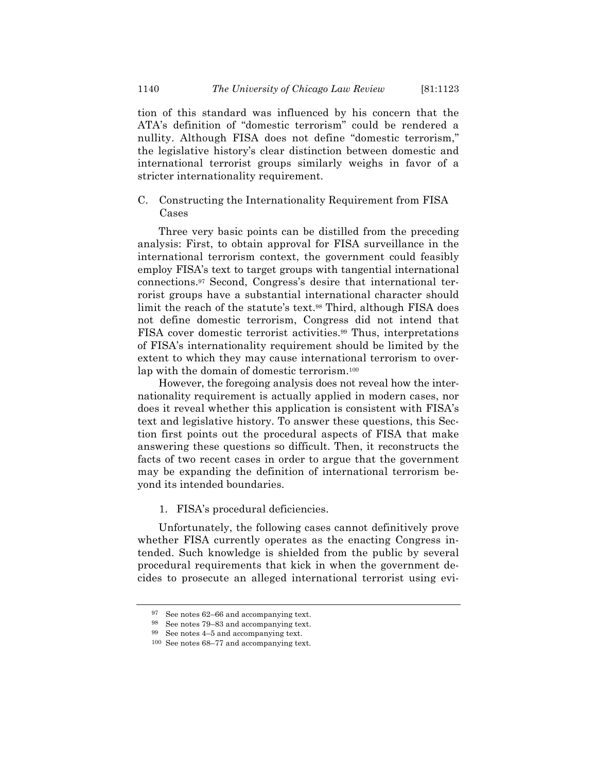tion of this standard was influenced by his concern that the ATA's definition of "domestic terrorism" could be rendered a nullity. Although FISA does not define "domestic terrorism," the legislative history's clear distinction between domestic and international terrorist groups similarly weighs in favor of a stricter internationality requirement.

C. Constructing the Internationality Requirement from FISA Cases

Three very basic points can be distilled from the preceding analysis: First, to obtain approval for FISA surveillance in the international terrorism context, the government could feasibly employ FISA's text to target groups with tangential international connections.97 Second, Congress's desire that international terrorist groups have a substantial international character should limit the reach of the statute's text.<sup>98</sup> Third, although FISA does not define domestic terrorism, Congress did not intend that FISA cover domestic terrorist activities.99 Thus, interpretations of FISA's internationality requirement should be limited by the extent to which they may cause international terrorism to overlap with the domain of domestic terrorism.100

However, the foregoing analysis does not reveal how the internationality requirement is actually applied in modern cases, nor does it reveal whether this application is consistent with FISA's text and legislative history. To answer these questions, this Section first points out the procedural aspects of FISA that make answering these questions so difficult. Then, it reconstructs the facts of two recent cases in order to argue that the government may be expanding the definition of international terrorism beyond its intended boundaries.

1. FISA's procedural deficiencies.

Unfortunately, the following cases cannot definitively prove whether FISA currently operates as the enacting Congress intended. Such knowledge is shielded from the public by several procedural requirements that kick in when the government decides to prosecute an alleged international terrorist using evi-

<sup>97</sup> See notes 62–66 and accompanying text.

<sup>98</sup> See notes 79–83 and accompanying text.

<sup>99</sup> See notes 4–5 and accompanying text.

<sup>100</sup> See notes 68–77 and accompanying text.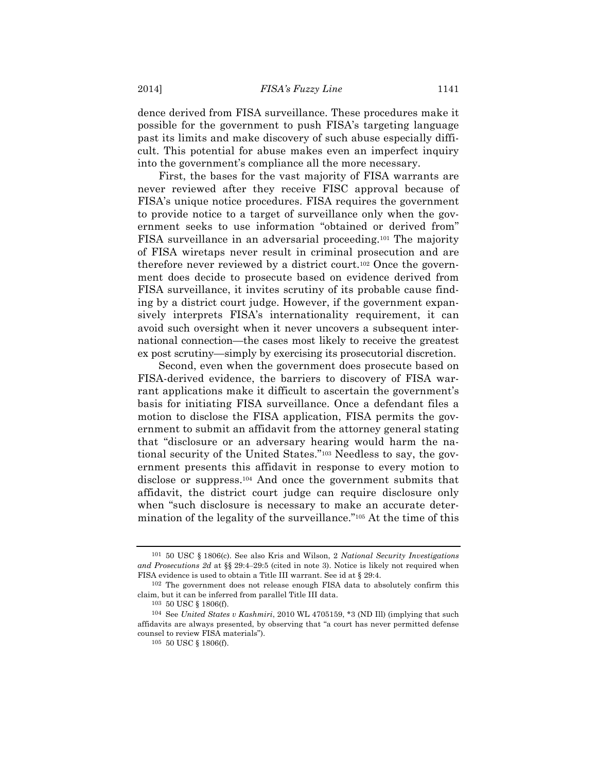dence derived from FISA surveillance. These procedures make it possible for the government to push FISA's targeting language past its limits and make discovery of such abuse especially difficult. This potential for abuse makes even an imperfect inquiry into the government's compliance all the more necessary.

First, the bases for the vast majority of FISA warrants are never reviewed after they receive FISC approval because of FISA's unique notice procedures. FISA requires the government to provide notice to a target of surveillance only when the government seeks to use information "obtained or derived from" FISA surveillance in an adversarial proceeding.101 The majority of FISA wiretaps never result in criminal prosecution and are therefore never reviewed by a district court.102 Once the government does decide to prosecute based on evidence derived from FISA surveillance, it invites scrutiny of its probable cause finding by a district court judge. However, if the government expansively interprets FISA's internationality requirement, it can avoid such oversight when it never uncovers a subsequent international connection—the cases most likely to receive the greatest ex post scrutiny—simply by exercising its prosecutorial discretion.

Second, even when the government does prosecute based on FISA-derived evidence, the barriers to discovery of FISA warrant applications make it difficult to ascertain the government's basis for initiating FISA surveillance. Once a defendant files a motion to disclose the FISA application, FISA permits the government to submit an affidavit from the attorney general stating that "disclosure or an adversary hearing would harm the national security of the United States."103 Needless to say, the government presents this affidavit in response to every motion to disclose or suppress.104 And once the government submits that affidavit, the district court judge can require disclosure only when "such disclosure is necessary to make an accurate determination of the legality of the surveillance."105 At the time of this

<sup>101</sup> 50 USC § 1806(c). See also Kris and Wilson, 2 *National Security Investigations and Prosecutions 2d* at §§ 29:4–29:5 (cited in note 3). Notice is likely not required when FISA evidence is used to obtain a Title III warrant. See id at § 29:4.

<sup>102</sup> The government does not release enough FISA data to absolutely confirm this claim, but it can be inferred from parallel Title III data.

<sup>103</sup> 50 USC § 1806(f).

<sup>104</sup> See *United States v Kashmiri*, 2010 WL 4705159, \*3 (ND Ill) (implying that such affidavits are always presented, by observing that "a court has never permitted defense counsel to review FISA materials").

<sup>105</sup> 50 USC § 1806(f).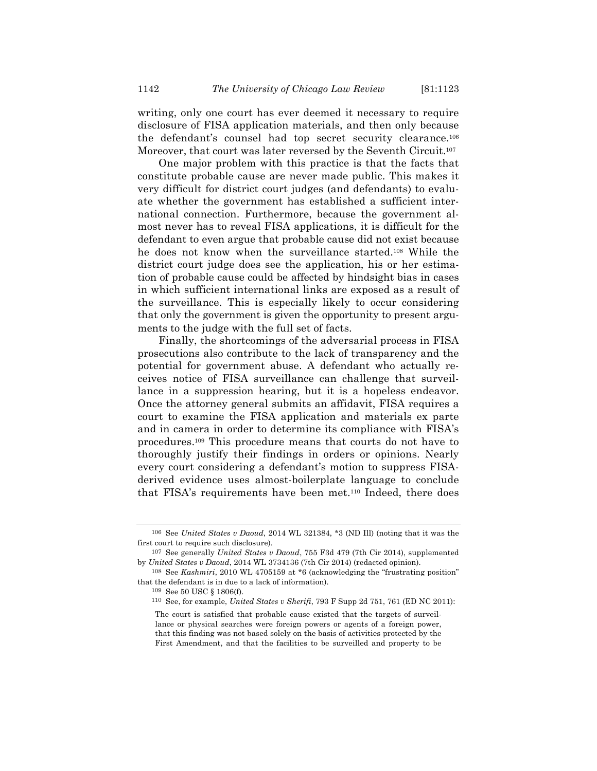writing, only one court has ever deemed it necessary to require disclosure of FISA application materials, and then only because the defendant's counsel had top secret security clearance.106 Moreover, that court was later reversed by the Seventh Circuit.107

One major problem with this practice is that the facts that constitute probable cause are never made public. This makes it very difficult for district court judges (and defendants) to evaluate whether the government has established a sufficient international connection. Furthermore, because the government almost never has to reveal FISA applications, it is difficult for the defendant to even argue that probable cause did not exist because he does not know when the surveillance started.108 While the district court judge does see the application, his or her estimation of probable cause could be affected by hindsight bias in cases in which sufficient international links are exposed as a result of the surveillance. This is especially likely to occur considering that only the government is given the opportunity to present arguments to the judge with the full set of facts.

Finally, the shortcomings of the adversarial process in FISA prosecutions also contribute to the lack of transparency and the potential for government abuse. A defendant who actually receives notice of FISA surveillance can challenge that surveillance in a suppression hearing, but it is a hopeless endeavor. Once the attorney general submits an affidavit, FISA requires a court to examine the FISA application and materials ex parte and in camera in order to determine its compliance with FISA's procedures.109 This procedure means that courts do not have to thoroughly justify their findings in orders or opinions. Nearly every court considering a defendant's motion to suppress FISAderived evidence uses almost-boilerplate language to conclude that FISA's requirements have been met.110 Indeed, there does

<sup>106</sup> See *United States v Daoud*, 2014 WL 321384, \*3 (ND Ill) (noting that it was the first court to require such disclosure).

<sup>107</sup> See generally *United States v Daoud*, 755 F3d 479 (7th Cir 2014), supplemented by *United States v Daoud*, 2014 WL 3734136 (7th Cir 2014) (redacted opinion).

<sup>108</sup> See *Kashmiri*, 2010 WL 4705159 at \*6 (acknowledging the "frustrating position" that the defendant is in due to a lack of information).

<sup>109</sup> See 50 USC § 1806(f).

<sup>110</sup> See, for example, *United States v Sherifi*, 793 F Supp 2d 751, 761 (ED NC 2011):

The court is satisfied that probable cause existed that the targets of surveillance or physical searches were foreign powers or agents of a foreign power, that this finding was not based solely on the basis of activities protected by the First Amendment, and that the facilities to be surveilled and property to be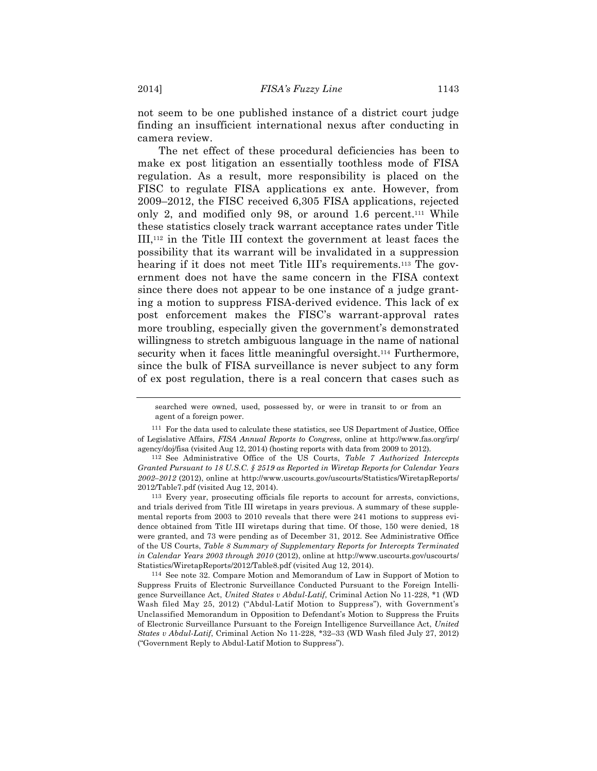not seem to be one published instance of a district court judge finding an insufficient international nexus after conducting in camera review.

The net effect of these procedural deficiencies has been to make ex post litigation an essentially toothless mode of FISA regulation. As a result, more responsibility is placed on the FISC to regulate FISA applications ex ante. However, from 2009–2012, the FISC received 6,305 FISA applications, rejected only 2, and modified only 98, or around 1.6 percent.111 While these statistics closely track warrant acceptance rates under Title III,112 in the Title III context the government at least faces the possibility that its warrant will be invalidated in a suppression hearing if it does not meet Title III's requirements.<sup>113</sup> The government does not have the same concern in the FISA context since there does not appear to be one instance of a judge granting a motion to suppress FISA-derived evidence. This lack of ex post enforcement makes the FISC's warrant-approval rates more troubling, especially given the government's demonstrated willingness to stretch ambiguous language in the name of national security when it faces little meaningful oversight.<sup>114</sup> Furthermore, since the bulk of FISA surveillance is never subject to any form of ex post regulation, there is a real concern that cases such as

113 Every year, prosecuting officials file reports to account for arrests, convictions, and trials derived from Title III wiretaps in years previous. A summary of these supplemental reports from 2003 to 2010 reveals that there were 241 motions to suppress evidence obtained from Title III wiretaps during that time. Of those, 150 were denied, 18 were granted, and 73 were pending as of December 31, 2012. See Administrative Office of the US Courts, *Table 8 Summary of Supplementary Reports for Intercepts Terminated in Calendar Years 2003 through 2010* (2012), online at http://www.uscourts.gov/uscourts/ Statistics/WiretapReports/2012/Table8.pdf (visited Aug 12, 2014).

114 See note 32. Compare Motion and Memorandum of Law in Support of Motion to Suppress Fruits of Electronic Surveillance Conducted Pursuant to the Foreign Intelligence Surveillance Act, *United States v Abdul-Latif*, Criminal Action No 11-228, \*1 (WD Wash filed May 25, 2012) ("Abdul-Latif Motion to Suppress"), with Government's Unclassified Memorandum in Opposition to Defendant's Motion to Suppress the Fruits of Electronic Surveillance Pursuant to the Foreign Intelligence Surveillance Act, *United States v Abdul-Latif*, Criminal Action No 11-228, \*32–33 (WD Wash filed July 27, 2012) ("Government Reply to Abdul-Latif Motion to Suppress").

searched were owned, used, possessed by, or were in transit to or from an agent of a foreign power.

<sup>111</sup> For the data used to calculate these statistics, see US Department of Justice, Office of Legislative Affairs, *FISA Annual Reports to Congress*, online at http://www.fas.org/irp/ agency/doj/fisa (visited Aug 12, 2014) (hosting reports with data from 2009 to 2012).

<sup>112</sup> See Administrative Office of the US Courts, *Table 7 Authorized Intercepts Granted Pursuant to 18 U.S.C. § 2519 as Reported in Wiretap Reports for Calendar Years 2002–2012* (2012), online at http://www.uscourts.gov/uscourts/Statistics/WiretapReports/ 2012/Table7.pdf (visited Aug 12, 2014).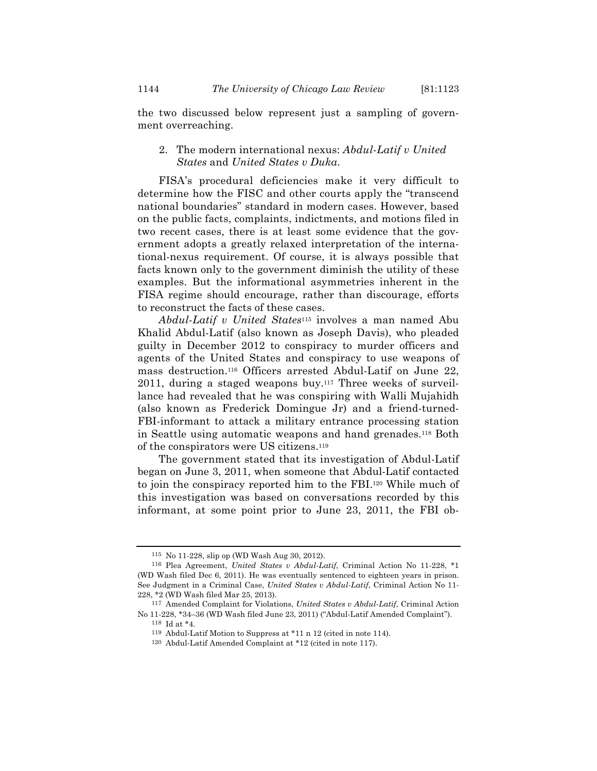the two discussed below represent just a sampling of government overreaching.

# 2. The modern international nexus: *Abdul-Latif v United States* and *United States v Duka*.

FISA's procedural deficiencies make it very difficult to determine how the FISC and other courts apply the "transcend national boundaries" standard in modern cases. However, based on the public facts, complaints, indictments, and motions filed in two recent cases, there is at least some evidence that the government adopts a greatly relaxed interpretation of the international-nexus requirement. Of course, it is always possible that facts known only to the government diminish the utility of these examples. But the informational asymmetries inherent in the FISA regime should encourage, rather than discourage, efforts to reconstruct the facts of these cases.

*Abdul-Latif v United States*115 involves a man named Abu Khalid Abdul-Latif (also known as Joseph Davis), who pleaded guilty in December 2012 to conspiracy to murder officers and agents of the United States and conspiracy to use weapons of mass destruction.116 Officers arrested Abdul-Latif on June 22, 2011, during a staged weapons buy.117 Three weeks of surveillance had revealed that he was conspiring with Walli Mujahidh (also known as Frederick Domingue Jr) and a friend-turned-FBI-informant to attack a military entrance processing station in Seattle using automatic weapons and hand grenades.118 Both of the conspirators were US citizens.119

The government stated that its investigation of Abdul-Latif began on June 3, 2011, when someone that Abdul-Latif contacted to join the conspiracy reported him to the FBI.120 While much of this investigation was based on conversations recorded by this informant, at some point prior to June 23, 2011, the FBI ob-

<sup>115</sup> No 11-228, slip op (WD Wash Aug 30, 2012).

<sup>116</sup> Plea Agreement, *United States v Abdul-Latif*, Criminal Action No 11-228, \*1 (WD Wash filed Dec 6, 2011). He was eventually sentenced to eighteen years in prison. See Judgment in a Criminal Case, *United States v Abdul-Latif*, Criminal Action No 11- 228, \*2 (WD Wash filed Mar 25, 2013).

<sup>117</sup> Amended Complaint for Violations, *United States v Abdul-Latif*, Criminal Action No 11-228, \*34–36 (WD Wash filed June 23, 2011) ("Abdul-Latif Amended Complaint").

<sup>118</sup> Id at \*4.

<sup>119</sup> Abdul-Latif Motion to Suppress at \*11 n 12 (cited in note 114).

<sup>120</sup> Abdul-Latif Amended Complaint at \*12 (cited in note 117).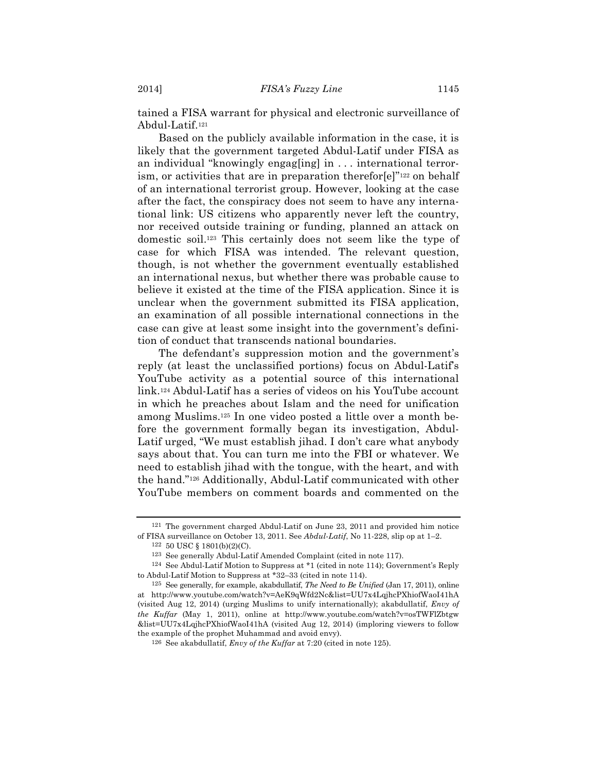tained a FISA warrant for physical and electronic surveillance of Abdul-Latif.121

Based on the publicly available information in the case, it is likely that the government targeted Abdul-Latif under FISA as an individual "knowingly engag[ing] in . . . international terrorism, or activities that are in preparation therefor[e]"<sup>122</sup> on behalf of an international terrorist group. However, looking at the case after the fact, the conspiracy does not seem to have any international link: US citizens who apparently never left the country, nor received outside training or funding, planned an attack on domestic soil.123 This certainly does not seem like the type of case for which FISA was intended. The relevant question, though, is not whether the government eventually established an international nexus, but whether there was probable cause to believe it existed at the time of the FISA application. Since it is unclear when the government submitted its FISA application, an examination of all possible international connections in the case can give at least some insight into the government's definition of conduct that transcends national boundaries.

The defendant's suppression motion and the government's reply (at least the unclassified portions) focus on Abdul-Latif's YouTube activity as a potential source of this international link.124 Abdul-Latif has a series of videos on his YouTube account in which he preaches about Islam and the need for unification among Muslims.125 In one video posted a little over a month before the government formally began its investigation, Abdul-Latif urged, "We must establish jihad. I don't care what anybody says about that. You can turn me into the FBI or whatever. We need to establish jihad with the tongue, with the heart, and with the hand."126 Additionally, Abdul-Latif communicated with other YouTube members on comment boards and commented on the

<sup>121</sup> The government charged Abdul-Latif on June 23, 2011 and provided him notice of FISA surveillance on October 13, 2011. See *Abdul-Latif*, No 11-228, slip op at 1–2.

<sup>122</sup> 50 USC § 1801(b)(2)(C).

<sup>123</sup> See generally Abdul-Latif Amended Complaint (cited in note 117).

<sup>124</sup> See Abdul-Latif Motion to Suppress at \*1 (cited in note 114); Government's Reply to Abdul-Latif Motion to Suppress at \*32–33 (cited in note 114).

<sup>125</sup> See generally, for example, akabdullatif, *The Need to Be Unified* (Jan 17, 2011), online at http://www.youtube.com/watch?v=AeK9qWfd2Nc&list=UU7x4LqjhcPXhiofWaoI41hA (visited Aug 12, 2014) (urging Muslims to unify internationally); akabdullatif, *Envy of the Kuffar* (May 1, 2011), online at http://www.youtube.com/watch?v=osTWFlZbtgw &list=UU7x4LqjhcPXhiofWaoI41hA (visited Aug 12, 2014) (imploring viewers to follow the example of the prophet Muhammad and avoid envy).

<sup>126</sup> See akabdullatif, *Envy of the Kuffar* at 7:20 (cited in note 125).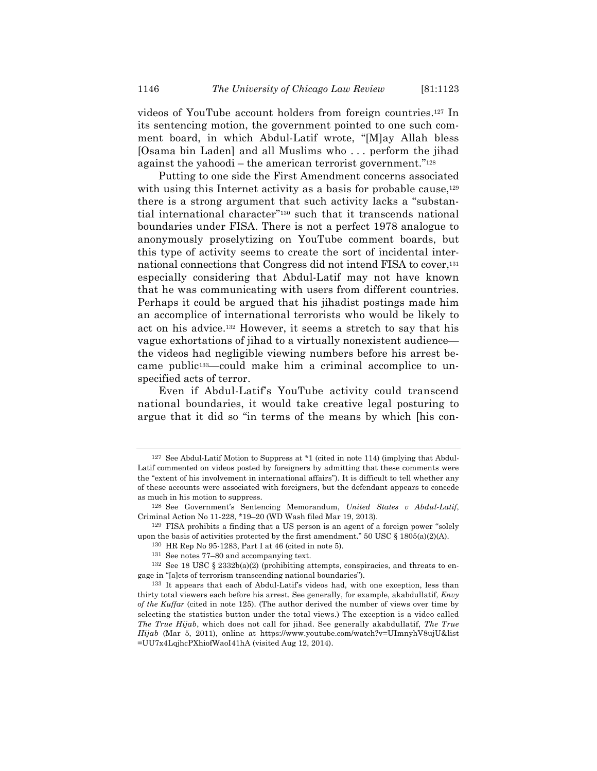videos of YouTube account holders from foreign countries.127 In its sentencing motion, the government pointed to one such comment board, in which Abdul-Latif wrote, "[M]ay Allah bless [Osama bin Laden] and all Muslims who . . . perform the jihad against the yahoodi – the american terrorist government."128

Putting to one side the First Amendment concerns associated with using this Internet activity as a basis for probable cause,  $129$ there is a strong argument that such activity lacks a "substantial international character"130 such that it transcends national boundaries under FISA. There is not a perfect 1978 analogue to anonymously proselytizing on YouTube comment boards, but this type of activity seems to create the sort of incidental international connections that Congress did not intend FISA to cover,<sup>131</sup> especially considering that Abdul-Latif may not have known that he was communicating with users from different countries. Perhaps it could be argued that his jihadist postings made him an accomplice of international terrorists who would be likely to act on his advice.132 However, it seems a stretch to say that his vague exhortations of jihad to a virtually nonexistent audience the videos had negligible viewing numbers before his arrest became public133—could make him a criminal accomplice to unspecified acts of terror.

Even if Abdul-Latif's YouTube activity could transcend national boundaries, it would take creative legal posturing to argue that it did so "in terms of the means by which [his con-

<sup>127</sup> See Abdul-Latif Motion to Suppress at \*1 (cited in note 114) (implying that Abdul-Latif commented on videos posted by foreigners by admitting that these comments were the "extent of his involvement in international affairs"). It is difficult to tell whether any of these accounts were associated with foreigners, but the defendant appears to concede as much in his motion to suppress.

<sup>128</sup> See Government's Sentencing Memorandum, *United States v Abdul-Latif*, Criminal Action No 11-228, \*19–20 (WD Wash filed Mar 19, 2013).

<sup>129</sup> FISA prohibits a finding that a US person is an agent of a foreign power "solely upon the basis of activities protected by the first amendment." 50 USC  $\S$  1805(a)(2)(A).

<sup>130</sup> HR Rep No 95-1283, Part I at 46 (cited in note 5).

<sup>131</sup> See notes 77–80 and accompanying text.

<sup>&</sup>lt;sup>132</sup> See 18 USC § 2332b(a)(2) (prohibiting attempts, conspiracies, and threats to engage in "[a]cts of terrorism transcending national boundaries").

<sup>133</sup> It appears that each of Abdul-Latif's videos had, with one exception, less than thirty total viewers each before his arrest. See generally, for example, akabdullatif, *Envy of the Kuffar* (cited in note 125). (The author derived the number of views over time by selecting the statistics button under the total views.) The exception is a video called *The True Hijab*, which does not call for jihad. See generally akabdullatif, *The True Hijab* (Mar 5, 2011), online at https://www.youtube.com/watch?v=UImnyhV8ujU&list =UU7x4LqjhcPXhiofWaoI41hA (visited Aug 12, 2014).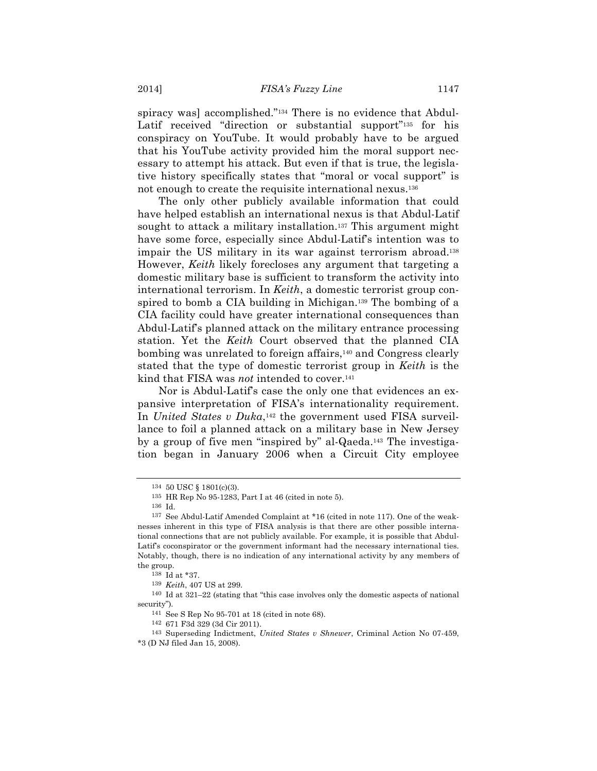spiracy was] accomplished."<sup>134</sup> There is no evidence that Abdul-Latif received "direction or substantial support"<sup>135</sup> for his conspiracy on YouTube. It would probably have to be argued that his YouTube activity provided him the moral support necessary to attempt his attack. But even if that is true, the legislative history specifically states that "moral or vocal support" is not enough to create the requisite international nexus.136

The only other publicly available information that could have helped establish an international nexus is that Abdul-Latif sought to attack a military installation.<sup>137</sup> This argument might have some force, especially since Abdul-Latif's intention was to impair the US military in its war against terrorism abroad.138 However, *Keith* likely forecloses any argument that targeting a domestic military base is sufficient to transform the activity into international terrorism. In *Keith*, a domestic terrorist group conspired to bomb a CIA building in Michigan.139 The bombing of a CIA facility could have greater international consequences than Abdul-Latif's planned attack on the military entrance processing station. Yet the *Keith* Court observed that the planned CIA bombing was unrelated to foreign affairs,<sup>140</sup> and Congress clearly stated that the type of domestic terrorist group in *Keith* is the kind that FISA was *not* intended to cover.141

Nor is Abdul-Latif's case the only one that evidences an expansive interpretation of FISA's internationality requirement. In *United States v Duka*,142 the government used FISA surveillance to foil a planned attack on a military base in New Jersey by a group of five men "inspired by" al-Qaeda.143 The investigation began in January 2006 when a Circuit City employee

<sup>134</sup> 50 USC § 1801(c)(3).

<sup>135</sup> HR Rep No 95-1283, Part I at 46 (cited in note 5).

<sup>136</sup> Id.

<sup>137</sup> See Abdul-Latif Amended Complaint at \*16 (cited in note 117). One of the weaknesses inherent in this type of FISA analysis is that there are other possible international connections that are not publicly available. For example, it is possible that Abdul-Latif's coconspirator or the government informant had the necessary international ties. Notably, though, there is no indication of any international activity by any members of the group.

<sup>138</sup> Id at \*37.

<sup>139</sup> *Keith*, 407 US at 299.

<sup>140</sup> Id at 321–22 (stating that "this case involves only the domestic aspects of national security").

<sup>141</sup> See S Rep No 95-701 at 18 (cited in note 68).

<sup>142</sup> 671 F3d 329 (3d Cir 2011).

<sup>143</sup> Superseding Indictment, *United States v Shnewer*, Criminal Action No 07-459, \*3 (D NJ filed Jan 15, 2008).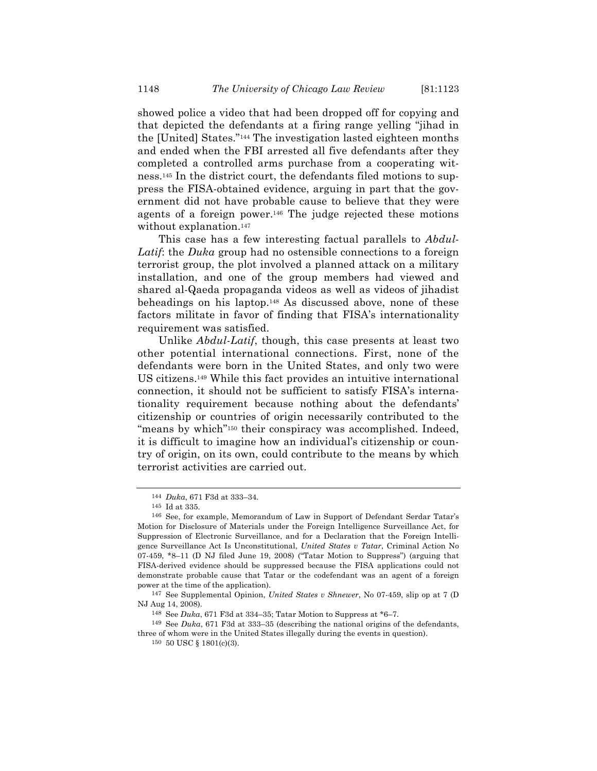showed police a video that had been dropped off for copying and that depicted the defendants at a firing range yelling "jihad in the [United] States."144 The investigation lasted eighteen months and ended when the FBI arrested all five defendants after they completed a controlled arms purchase from a cooperating witness.145 In the district court, the defendants filed motions to suppress the FISA-obtained evidence, arguing in part that the government did not have probable cause to believe that they were agents of a foreign power.146 The judge rejected these motions without explanation.<sup>147</sup>

This case has a few interesting factual parallels to *Abdul-Latif*: the *Duka* group had no ostensible connections to a foreign terrorist group, the plot involved a planned attack on a military installation, and one of the group members had viewed and shared al-Qaeda propaganda videos as well as videos of jihadist beheadings on his laptop.148 As discussed above, none of these factors militate in favor of finding that FISA's internationality requirement was satisfied.

Unlike *Abdul-Latif*, though, this case presents at least two other potential international connections. First, none of the defendants were born in the United States, and only two were US citizens.149 While this fact provides an intuitive international connection, it should not be sufficient to satisfy FISA's internationality requirement because nothing about the defendants' citizenship or countries of origin necessarily contributed to the "means by which"150 their conspiracy was accomplished. Indeed, it is difficult to imagine how an individual's citizenship or country of origin, on its own, could contribute to the means by which terrorist activities are carried out.

<sup>144</sup> *Duka*, 671 F3d at 333–34.

<sup>145</sup> Id at 335.

<sup>146</sup> See, for example, Memorandum of Law in Support of Defendant Serdar Tatar's Motion for Disclosure of Materials under the Foreign Intelligence Surveillance Act, for Suppression of Electronic Surveillance, and for a Declaration that the Foreign Intelligence Surveillance Act Is Unconstitutional, *United States v Tatar*, Criminal Action No  $07-459$ ,  $*8-11$  (D NJ filed June 19, 2008) ("Tatar Motion to Suppress") (arguing that FISA-derived evidence should be suppressed because the FISA applications could not demonstrate probable cause that Tatar or the codefendant was an agent of a foreign power at the time of the application).

<sup>147</sup> See Supplemental Opinion, *United States v Shnewer*, No 07-459, slip op at 7 (D NJ Aug 14, 2008).

<sup>148</sup> See *Duka*, 671 F3d at 334–35; Tatar Motion to Suppress at \*6–7.

<sup>149</sup> See *Duka*, 671 F3d at 333–35 (describing the national origins of the defendants, three of whom were in the United States illegally during the events in question).

<sup>150</sup> 50 USC § 1801(c)(3).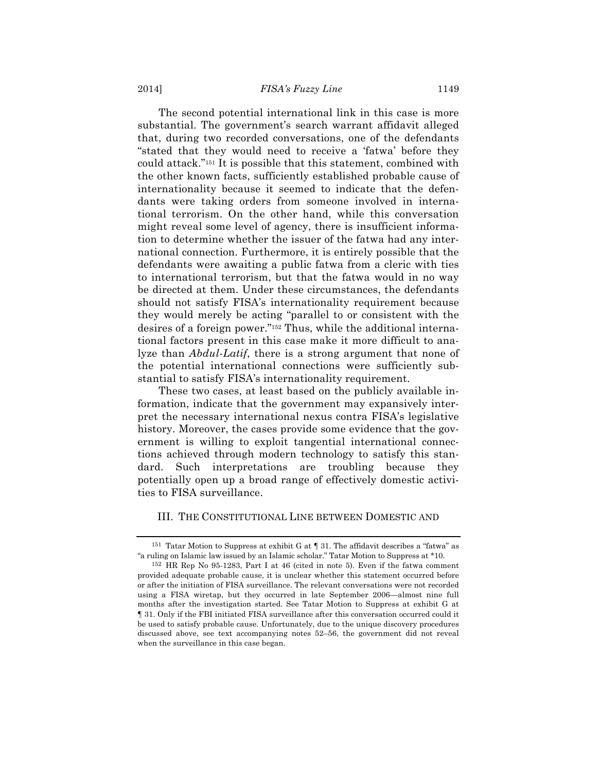#### 2014] *FISA's Fuzzy Line* 1149

The second potential international link in this case is more substantial. The government's search warrant affidavit alleged that, during two recorded conversations, one of the defendants "stated that they would need to receive a 'fatwa' before they could attack."151 It is possible that this statement, combined with the other known facts, sufficiently established probable cause of internationality because it seemed to indicate that the defendants were taking orders from someone involved in international terrorism. On the other hand, while this conversation might reveal some level of agency, there is insufficient information to determine whether the issuer of the fatwa had any international connection. Furthermore, it is entirely possible that the defendants were awaiting a public fatwa from a cleric with ties to international terrorism, but that the fatwa would in no way be directed at them. Under these circumstances, the defendants should not satisfy FISA's internationality requirement because they would merely be acting "parallel to or consistent with the desires of a foreign power."152 Thus, while the additional international factors present in this case make it more difficult to analyze than *Abdul-Latif*, there is a strong argument that none of the potential international connections were sufficiently substantial to satisfy FISA's internationality requirement.

These two cases, at least based on the publicly available information, indicate that the government may expansively interpret the necessary international nexus contra FISA's legislative history. Moreover, the cases provide some evidence that the government is willing to exploit tangential international connections achieved through modern technology to satisfy this standard. Such interpretations are troubling because they potentially open up a broad range of effectively domestic activities to FISA surveillance.

#### III. THE CONSTITUTIONAL LINE BETWEEN DOMESTIC AND

<sup>151</sup> Tatar Motion to Suppress at exhibit G at ¶ 31. The affidavit describes a "fatwa" as "a ruling on Islamic law issued by an Islamic scholar." Tatar Motion to Suppress at \*10.

<sup>152</sup> HR Rep No 95-1283, Part I at 46 (cited in note 5). Even if the fatwa comment provided adequate probable cause, it is unclear whether this statement occurred before or after the initiation of FISA surveillance. The relevant conversations were not recorded using a FISA wiretap, but they occurred in late September 2006—almost nine full months after the investigation started. See Tatar Motion to Suppress at exhibit G at ¶ 31. Only if the FBI initiated FISA surveillance after this conversation occurred could it be used to satisfy probable cause. Unfortunately, due to the unique discovery procedures discussed above, see text accompanying notes 52–56, the government did not reveal when the surveillance in this case began.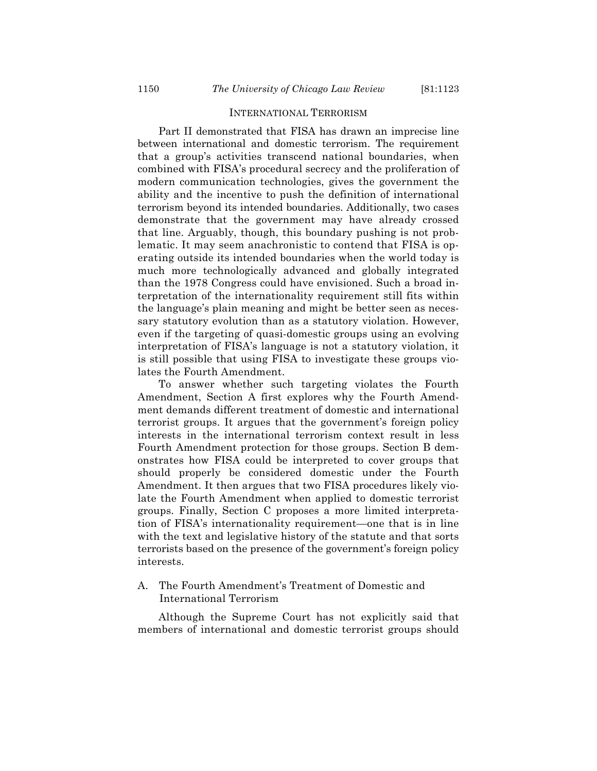### INTERNATIONAL TERRORISM

Part II demonstrated that FISA has drawn an imprecise line between international and domestic terrorism. The requirement that a group's activities transcend national boundaries, when combined with FISA's procedural secrecy and the proliferation of modern communication technologies, gives the government the ability and the incentive to push the definition of international terrorism beyond its intended boundaries. Additionally, two cases demonstrate that the government may have already crossed that line. Arguably, though, this boundary pushing is not problematic. It may seem anachronistic to contend that FISA is operating outside its intended boundaries when the world today is much more technologically advanced and globally integrated than the 1978 Congress could have envisioned. Such a broad interpretation of the internationality requirement still fits within the language's plain meaning and might be better seen as necessary statutory evolution than as a statutory violation. However, even if the targeting of quasi-domestic groups using an evolving interpretation of FISA's language is not a statutory violation, it is still possible that using FISA to investigate these groups violates the Fourth Amendment.

To answer whether such targeting violates the Fourth Amendment, Section A first explores why the Fourth Amendment demands different treatment of domestic and international terrorist groups. It argues that the government's foreign policy interests in the international terrorism context result in less Fourth Amendment protection for those groups. Section B demonstrates how FISA could be interpreted to cover groups that should properly be considered domestic under the Fourth Amendment. It then argues that two FISA procedures likely violate the Fourth Amendment when applied to domestic terrorist groups. Finally, Section C proposes a more limited interpretation of FISA's internationality requirement—one that is in line with the text and legislative history of the statute and that sorts terrorists based on the presence of the government's foreign policy interests.

# A. The Fourth Amendment's Treatment of Domestic and International Terrorism

Although the Supreme Court has not explicitly said that members of international and domestic terrorist groups should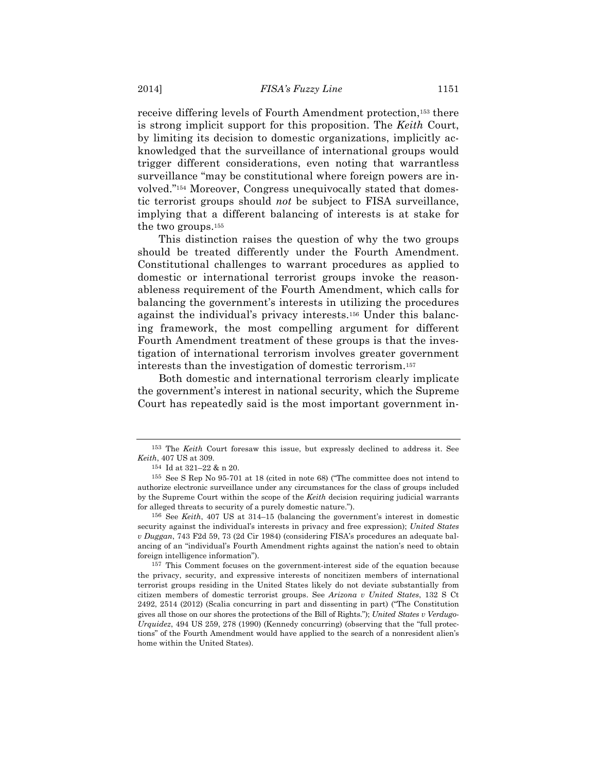receive differing levels of Fourth Amendment protection,153 there is strong implicit support for this proposition. The *Keith* Court, by limiting its decision to domestic organizations, implicitly acknowledged that the surveillance of international groups would trigger different considerations, even noting that warrantless surveillance "may be constitutional where foreign powers are involved."154 Moreover, Congress unequivocally stated that domestic terrorist groups should *not* be subject to FISA surveillance, implying that a different balancing of interests is at stake for the two groups.155

This distinction raises the question of why the two groups should be treated differently under the Fourth Amendment. Constitutional challenges to warrant procedures as applied to domestic or international terrorist groups invoke the reasonableness requirement of the Fourth Amendment, which calls for balancing the government's interests in utilizing the procedures against the individual's privacy interests.156 Under this balancing framework, the most compelling argument for different Fourth Amendment treatment of these groups is that the investigation of international terrorism involves greater government interests than the investigation of domestic terrorism.157

Both domestic and international terrorism clearly implicate the government's interest in national security, which the Supreme Court has repeatedly said is the most important government in-

<sup>153</sup> The *Keith* Court foresaw this issue, but expressly declined to address it. See *Keith*, 407 US at 309.

<sup>154</sup> Id at 321–22 & n 20.

<sup>155</sup> See S Rep No 95-701 at 18 (cited in note 68) ("The committee does not intend to authorize electronic surveillance under any circumstances for the class of groups included by the Supreme Court within the scope of the *Keith* decision requiring judicial warrants for alleged threats to security of a purely domestic nature.").

<sup>156</sup> See *Keith*, 407 US at 314–15 (balancing the government's interest in domestic security against the individual's interests in privacy and free expression); *United States v Duggan*, 743 F2d 59, 73 (2d Cir 1984) (considering FISA's procedures an adequate balancing of an "individual's Fourth Amendment rights against the nation's need to obtain foreign intelligence information").

<sup>157</sup> This Comment focuses on the government-interest side of the equation because the privacy, security, and expressive interests of noncitizen members of international terrorist groups residing in the United States likely do not deviate substantially from citizen members of domestic terrorist groups. See *Arizona v United States*, 132 S Ct 2492, 2514 (2012) (Scalia concurring in part and dissenting in part) ("The Constitution gives all those on our shores the protections of the Bill of Rights."); *United States v Verdugo-Urquidez*, 494 US 259, 278 (1990) (Kennedy concurring) (observing that the "full protections" of the Fourth Amendment would have applied to the search of a nonresident alien's home within the United States).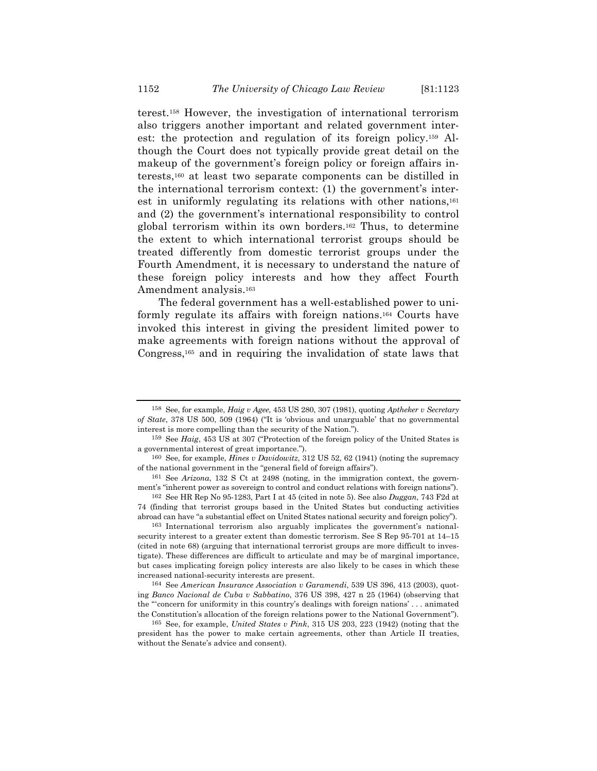terest.158 However, the investigation of international terrorism also triggers another important and related government interest: the protection and regulation of its foreign policy.159 Although the Court does not typically provide great detail on the makeup of the government's foreign policy or foreign affairs interests,160 at least two separate components can be distilled in the international terrorism context: (1) the government's interest in uniformly regulating its relations with other nations,<sup>161</sup> and (2) the government's international responsibility to control global terrorism within its own borders.162 Thus, to determine the extent to which international terrorist groups should be treated differently from domestic terrorist groups under the Fourth Amendment, it is necessary to understand the nature of these foreign policy interests and how they affect Fourth Amendment analysis.163

The federal government has a well-established power to uniformly regulate its affairs with foreign nations.164 Courts have invoked this interest in giving the president limited power to make agreements with foreign nations without the approval of Congress,165 and in requiring the invalidation of state laws that

164 See *American Insurance Association v Garamendi*, 539 US 396, 413 (2003), quoting *Banco Nacional de Cuba v Sabbatino*, 376 US 398, 427 n 25 (1964) (observing that the "'concern for uniformity in this country's dealings with foreign nations' . . . animated the Constitution's allocation of the foreign relations power to the National Government").

<sup>158</sup> See, for example, *Haig v Agee*, 453 US 280, 307 (1981), quoting *Aptheker v Secretary of State*, 378 US 500, 509 (1964) ("It is 'obvious and unarguable' that no governmental interest is more compelling than the security of the Nation.").

<sup>159</sup> See *Haig*, 453 US at 307 ("Protection of the foreign policy of the United States is a governmental interest of great importance.").

<sup>160</sup> See, for example, *Hines v Davidowitz*, 312 US 52, 62 (1941) (noting the supremacy of the national government in the "general field of foreign affairs").

<sup>161</sup> See *Arizona*, 132 S Ct at 2498 (noting, in the immigration context, the government's "inherent power as sovereign to control and conduct relations with foreign nations").

<sup>162</sup> See HR Rep No 95-1283, Part I at 45 (cited in note 5). See also *Duggan*, 743 F2d at 74 (finding that terrorist groups based in the United States but conducting activities abroad can have "a substantial effect on United States national security and foreign policy").

<sup>163</sup> International terrorism also arguably implicates the government's nationalsecurity interest to a greater extent than domestic terrorism. See S Rep 95-701 at 14–15 (cited in note 68) (arguing that international terrorist groups are more difficult to investigate). These differences are difficult to articulate and may be of marginal importance, but cases implicating foreign policy interests are also likely to be cases in which these increased national-security interests are present.

<sup>165</sup> See, for example, *United States v Pink*, 315 US 203, 223 (1942) (noting that the president has the power to make certain agreements, other than Article II treaties, without the Senate's advice and consent).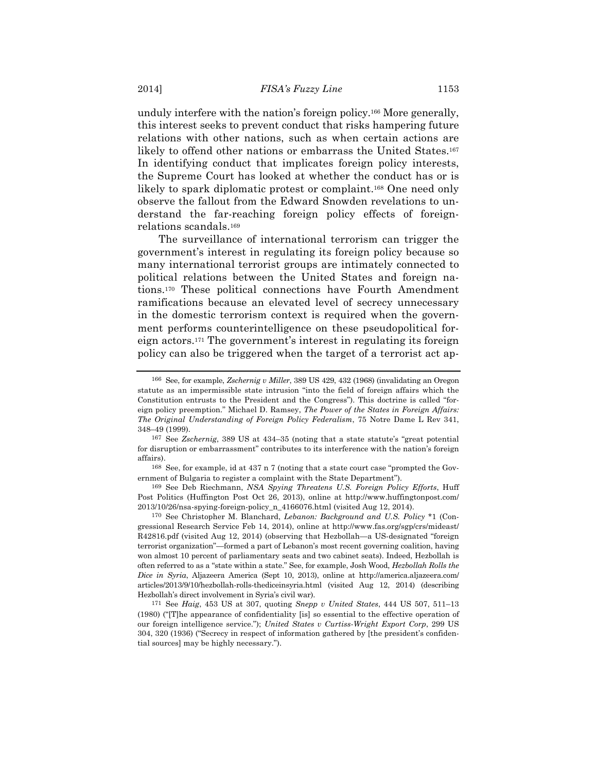unduly interfere with the nation's foreign policy.166 More generally, this interest seeks to prevent conduct that risks hampering future relations with other nations, such as when certain actions are likely to offend other nations or embarrass the United States.<sup>167</sup> In identifying conduct that implicates foreign policy interests, the Supreme Court has looked at whether the conduct has or is likely to spark diplomatic protest or complaint.<sup>168</sup> One need only observe the fallout from the Edward Snowden revelations to understand the far-reaching foreign policy effects of foreignrelations scandals.169

The surveillance of international terrorism can trigger the government's interest in regulating its foreign policy because so many international terrorist groups are intimately connected to political relations between the United States and foreign nations.170 These political connections have Fourth Amendment ramifications because an elevated level of secrecy unnecessary in the domestic terrorism context is required when the government performs counterintelligence on these pseudopolitical foreign actors.171 The government's interest in regulating its foreign policy can also be triggered when the target of a terrorist act ap-

169 See Deb Riechmann, *NSA Spying Threatens U.S. Foreign Policy Efforts*, Huff Post Politics (Huffington Post Oct 26, 2013), online at http://www.huffingtonpost.com/ 2013/10/26/nsa-spying-foreign-policy\_n\_4166076.html (visited Aug 12, 2014).

170 See Christopher M. Blanchard, *Lebanon: Background and U.S. Policy* \*1 (Congressional Research Service Feb 14, 2014), online at http://www.fas.org/sgp/crs/mideast/ R42816.pdf (visited Aug 12, 2014) (observing that Hezbollah—a US-designated "foreign terrorist organization"—formed a part of Lebanon's most recent governing coalition, having won almost 10 percent of parliamentary seats and two cabinet seats). Indeed, Hezbollah is often referred to as a "state within a state." See, for example, Josh Wood, *Hezbollah Rolls the Dice in Syria*, Aljazeera America (Sept 10, 2013), online at http://america.aljazeera.com/ articles/2013/9/10/hezbollah-rolls-thediceinsyria.html (visited Aug 12, 2014) (describing Hezbollah's direct involvement in Syria's civil war).

171 See *Haig*, 453 US at 307, quoting *Snepp v United States*, 444 US 507, 511–13 (1980) ("[T]he appearance of confidentiality [is] so essential to the effective operation of our foreign intelligence service."); *United States v Curtiss-Wright Export Corp*, 299 US 304, 320 (1936) ("Secrecy in respect of information gathered by [the president's confidential sources] may be highly necessary.").

<sup>166</sup> See, for example, *Zschernig v Miller*, 389 US 429, 432 (1968) (invalidating an Oregon statute as an impermissible state intrusion "into the field of foreign affairs which the Constitution entrusts to the President and the Congress"). This doctrine is called "foreign policy preemption." Michael D. Ramsey, *The Power of the States in Foreign Affairs: The Original Understanding of Foreign Policy Federalism*, 75 Notre Dame L Rev 341, 348–49 (1999).

<sup>167</sup> See *Zschernig*, 389 US at 434–35 (noting that a state statute's "great potential for disruption or embarrassment" contributes to its interference with the nation's foreign affairs).

<sup>168</sup> See, for example, id at 437 n 7 (noting that a state court case "prompted the Government of Bulgaria to register a complaint with the State Department").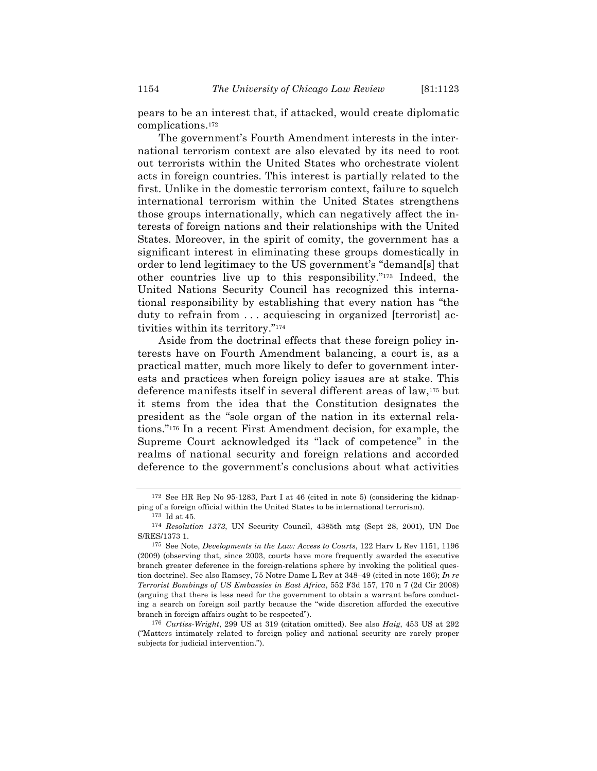pears to be an interest that, if attacked, would create diplomatic complications.172

The government's Fourth Amendment interests in the international terrorism context are also elevated by its need to root out terrorists within the United States who orchestrate violent acts in foreign countries. This interest is partially related to the first. Unlike in the domestic terrorism context, failure to squelch international terrorism within the United States strengthens those groups internationally, which can negatively affect the interests of foreign nations and their relationships with the United States. Moreover, in the spirit of comity, the government has a significant interest in eliminating these groups domestically in order to lend legitimacy to the US government's "demand[s] that other countries live up to this responsibility."173 Indeed, the United Nations Security Council has recognized this international responsibility by establishing that every nation has "the duty to refrain from . . . acquiescing in organized [terrorist] activities within its territory."174

Aside from the doctrinal effects that these foreign policy interests have on Fourth Amendment balancing, a court is, as a practical matter, much more likely to defer to government interests and practices when foreign policy issues are at stake. This deference manifests itself in several different areas of law,175 but it stems from the idea that the Constitution designates the president as the "sole organ of the nation in its external relations."176 In a recent First Amendment decision, for example, the Supreme Court acknowledged its "lack of competence" in the realms of national security and foreign relations and accorded deference to the government's conclusions about what activities

<sup>172</sup> See HR Rep No 95-1283, Part I at 46 (cited in note 5) (considering the kidnapping of a foreign official within the United States to be international terrorism).

<sup>173</sup> Id at 45.

<sup>174</sup> *Resolution 1373*, UN Security Council, 4385th mtg (Sept 28, 2001), UN Doc S/RES/1373 1.

<sup>175</sup> See Note, *Developments in the Law: Access to Courts*, 122 Harv L Rev 1151, 1196 (2009) (observing that, since 2003, courts have more frequently awarded the executive branch greater deference in the foreign-relations sphere by invoking the political question doctrine). See also Ramsey, 75 Notre Dame L Rev at 348–49 (cited in note 166); *In re Terrorist Bombings of US Embassies in East Africa*, 552 F3d 157, 170 n 7 (2d Cir 2008) (arguing that there is less need for the government to obtain a warrant before conducting a search on foreign soil partly because the "wide discretion afforded the executive branch in foreign affairs ought to be respected").

<sup>176</sup> *Curtiss-Wright*, 299 US at 319 (citation omitted). See also *Haig*, 453 US at 292 ("Matters intimately related to foreign policy and national security are rarely proper subjects for judicial intervention.").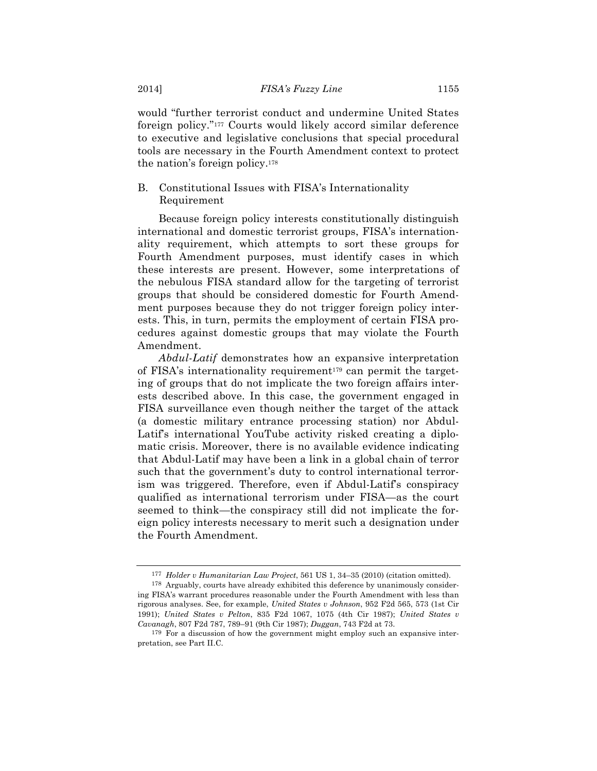would "further terrorist conduct and undermine United States foreign policy."177 Courts would likely accord similar deference to executive and legislative conclusions that special procedural tools are necessary in the Fourth Amendment context to protect the nation's foreign policy.178

# B. Constitutional Issues with FISA's Internationality Requirement

Because foreign policy interests constitutionally distinguish international and domestic terrorist groups, FISA's internationality requirement, which attempts to sort these groups for Fourth Amendment purposes, must identify cases in which these interests are present. However, some interpretations of the nebulous FISA standard allow for the targeting of terrorist groups that should be considered domestic for Fourth Amendment purposes because they do not trigger foreign policy interests. This, in turn, permits the employment of certain FISA procedures against domestic groups that may violate the Fourth Amendment.

*Abdul-Latif* demonstrates how an expansive interpretation of FISA's internationality requirement<sup>179</sup> can permit the targeting of groups that do not implicate the two foreign affairs interests described above. In this case, the government engaged in FISA surveillance even though neither the target of the attack (a domestic military entrance processing station) nor Abdul-Latif's international YouTube activity risked creating a diplomatic crisis. Moreover, there is no available evidence indicating that Abdul-Latif may have been a link in a global chain of terror such that the government's duty to control international terrorism was triggered. Therefore, even if Abdul-Latif's conspiracy qualified as international terrorism under FISA—as the court seemed to think—the conspiracy still did not implicate the foreign policy interests necessary to merit such a designation under the Fourth Amendment.

<sup>177</sup> *Holder v Humanitarian Law Project*, 561 US 1, 34–35 (2010) (citation omitted).

<sup>178</sup> Arguably, courts have already exhibited this deference by unanimously considering FISA's warrant procedures reasonable under the Fourth Amendment with less than rigorous analyses. See, for example, *United States v Johnson*, 952 F2d 565, 573 (1st Cir 1991); *United States v Pelton*, 835 F2d 1067, 1075 (4th Cir 1987); *United States v Cavanagh*, 807 F2d 787, 789–91 (9th Cir 1987); *Duggan*, 743 F2d at 73.

<sup>179</sup> For a discussion of how the government might employ such an expansive interpretation, see Part II.C.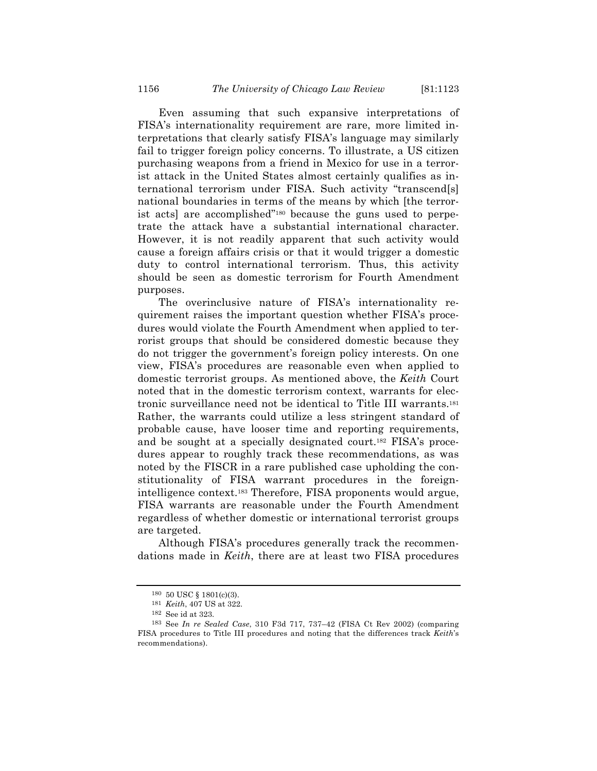Even assuming that such expansive interpretations of FISA's internationality requirement are rare, more limited interpretations that clearly satisfy FISA's language may similarly fail to trigger foreign policy concerns. To illustrate, a US citizen purchasing weapons from a friend in Mexico for use in a terrorist attack in the United States almost certainly qualifies as international terrorism under FISA. Such activity "transcend[s] national boundaries in terms of the means by which [the terrorist acts] are accomplished"180 because the guns used to perpetrate the attack have a substantial international character. However, it is not readily apparent that such activity would cause a foreign affairs crisis or that it would trigger a domestic duty to control international terrorism. Thus, this activity should be seen as domestic terrorism for Fourth Amendment purposes.

The overinclusive nature of FISA's internationality requirement raises the important question whether FISA's procedures would violate the Fourth Amendment when applied to terrorist groups that should be considered domestic because they do not trigger the government's foreign policy interests. On one view, FISA's procedures are reasonable even when applied to domestic terrorist groups. As mentioned above, the *Keith* Court noted that in the domestic terrorism context, warrants for electronic surveillance need not be identical to Title III warrants.181 Rather, the warrants could utilize a less stringent standard of probable cause, have looser time and reporting requirements, and be sought at a specially designated court.182 FISA's procedures appear to roughly track these recommendations, as was noted by the FISCR in a rare published case upholding the constitutionality of FISA warrant procedures in the foreignintelligence context.183 Therefore, FISA proponents would argue, FISA warrants are reasonable under the Fourth Amendment regardless of whether domestic or international terrorist groups are targeted.

Although FISA's procedures generally track the recommendations made in *Keith*, there are at least two FISA procedures

<sup>180</sup> 50 USC § 1801(c)(3).

<sup>181</sup> *Keith*, 407 US at 322.

<sup>182</sup> See id at 323.

<sup>183</sup> See *In re Sealed Case*, 310 F3d 717, 737–42 (FISA Ct Rev 2002) (comparing FISA procedures to Title III procedures and noting that the differences track *Keith*'s recommendations).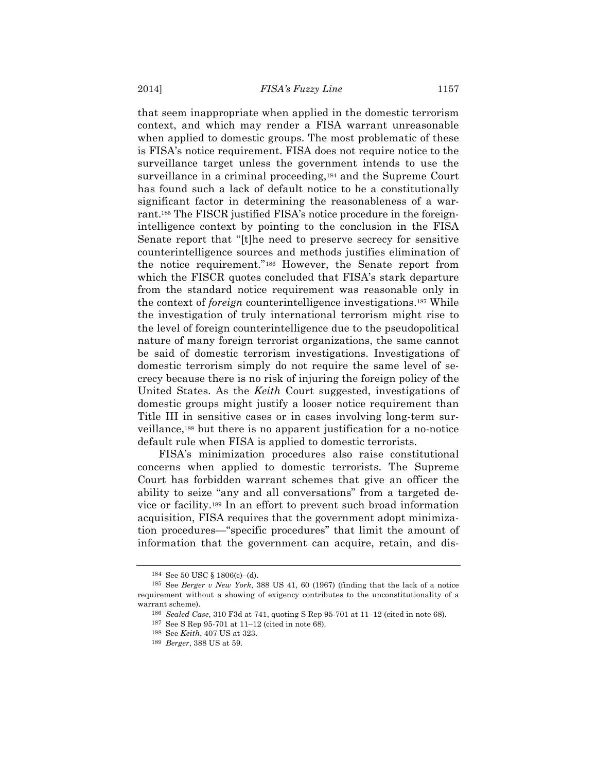that seem inappropriate when applied in the domestic terrorism context, and which may render a FISA warrant unreasonable when applied to domestic groups. The most problematic of these is FISA's notice requirement. FISA does not require notice to the surveillance target unless the government intends to use the surveillance in a criminal proceeding,<sup>184</sup> and the Supreme Court has found such a lack of default notice to be a constitutionally significant factor in determining the reasonableness of a warrant.185 The FISCR justified FISA's notice procedure in the foreignintelligence context by pointing to the conclusion in the FISA Senate report that "[t]he need to preserve secrecy for sensitive counterintelligence sources and methods justifies elimination of the notice requirement."186 However, the Senate report from which the FISCR quotes concluded that FISA's stark departure from the standard notice requirement was reasonable only in the context of *foreign* counterintelligence investigations.187 While the investigation of truly international terrorism might rise to the level of foreign counterintelligence due to the pseudopolitical nature of many foreign terrorist organizations, the same cannot be said of domestic terrorism investigations. Investigations of domestic terrorism simply do not require the same level of secrecy because there is no risk of injuring the foreign policy of the United States. As the *Keith* Court suggested, investigations of domestic groups might justify a looser notice requirement than Title III in sensitive cases or in cases involving long-term surveillance,188 but there is no apparent justification for a no-notice default rule when FISA is applied to domestic terrorists.

FISA's minimization procedures also raise constitutional concerns when applied to domestic terrorists. The Supreme Court has forbidden warrant schemes that give an officer the ability to seize "any and all conversations" from a targeted device or facility.189 In an effort to prevent such broad information acquisition, FISA requires that the government adopt minimization procedures—"specific procedures" that limit the amount of information that the government can acquire, retain, and dis-

<sup>184</sup> See 50 USC § 1806(c)–(d).

<sup>185</sup> See *Berger v New York*, 388 US 41, 60 (1967) (finding that the lack of a notice requirement without a showing of exigency contributes to the unconstitutionality of a warrant scheme).

<sup>186</sup> *Sealed Case*, 310 F3d at 741, quoting S Rep 95-701 at 11–12 (cited in note 68).

<sup>187</sup> See S Rep 95-701 at 11–12 (cited in note 68).

<sup>188</sup> See *Keith*, 407 US at 323.

<sup>189</sup> *Berger*, 388 US at 59.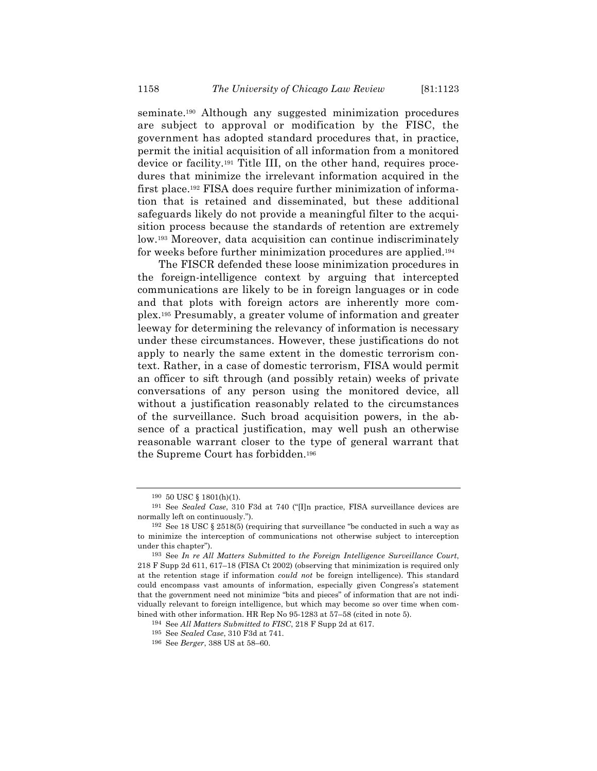seminate.190 Although any suggested minimization procedures are subject to approval or modification by the FISC, the government has adopted standard procedures that, in practice, permit the initial acquisition of all information from a monitored device or facility.191 Title III, on the other hand, requires procedures that minimize the irrelevant information acquired in the first place.192 FISA does require further minimization of information that is retained and disseminated, but these additional safeguards likely do not provide a meaningful filter to the acquisition process because the standards of retention are extremely low.193 Moreover, data acquisition can continue indiscriminately for weeks before further minimization procedures are applied.194

The FISCR defended these loose minimization procedures in the foreign-intelligence context by arguing that intercepted communications are likely to be in foreign languages or in code and that plots with foreign actors are inherently more complex.195 Presumably, a greater volume of information and greater leeway for determining the relevancy of information is necessary under these circumstances. However, these justifications do not apply to nearly the same extent in the domestic terrorism context. Rather, in a case of domestic terrorism, FISA would permit an officer to sift through (and possibly retain) weeks of private conversations of any person using the monitored device, all without a justification reasonably related to the circumstances of the surveillance. Such broad acquisition powers, in the absence of a practical justification, may well push an otherwise reasonable warrant closer to the type of general warrant that the Supreme Court has forbidden.196

<sup>190</sup> 50 USC § 1801(h)(1).

<sup>191</sup> See *Sealed Case*, 310 F3d at 740 ("[I]n practice, FISA surveillance devices are normally left on continuously.").

<sup>&</sup>lt;sup>192</sup> See 18 USC § 2518(5) (requiring that surveillance "be conducted in such a way as to minimize the interception of communications not otherwise subject to interception under this chapter").

<sup>193</sup> See *In re All Matters Submitted to the Foreign Intelligence Surveillance Court*, 218 F Supp 2d 611, 617–18 (FISA Ct 2002) (observing that minimization is required only at the retention stage if information *could not* be foreign intelligence). This standard could encompass vast amounts of information, especially given Congress's statement that the government need not minimize "bits and pieces" of information that are not individually relevant to foreign intelligence, but which may become so over time when combined with other information. HR Rep No 95-1283 at 57–58 (cited in note 5).

<sup>194</sup> See *All Matters Submitted to FISC*, 218 F Supp 2d at 617.

<sup>195</sup> See *Sealed Case*, 310 F3d at 741.

<sup>196</sup> See *Berger*, 388 US at 58–60.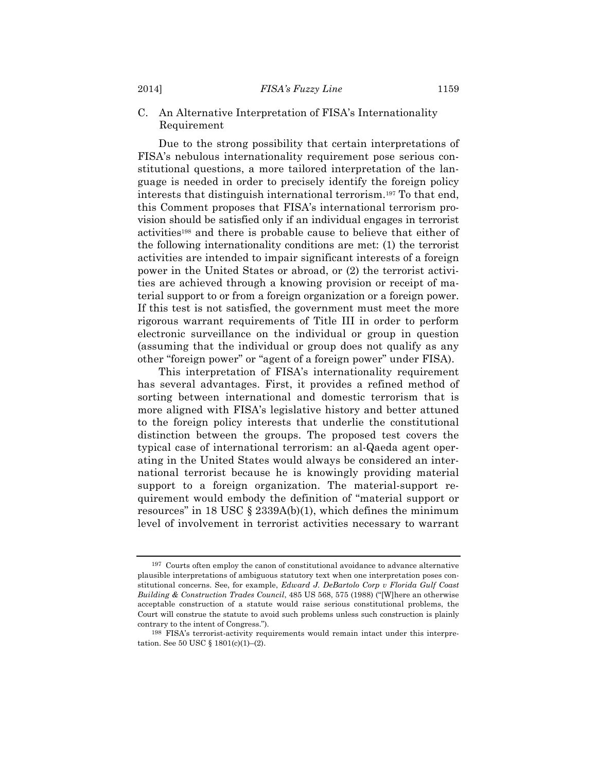# C. An Alternative Interpretation of FISA's Internationality Requirement

Due to the strong possibility that certain interpretations of FISA's nebulous internationality requirement pose serious constitutional questions, a more tailored interpretation of the language is needed in order to precisely identify the foreign policy interests that distinguish international terrorism.197 To that end, this Comment proposes that FISA's international terrorism provision should be satisfied only if an individual engages in terrorist activities198 and there is probable cause to believe that either of the following internationality conditions are met: (1) the terrorist activities are intended to impair significant interests of a foreign power in the United States or abroad, or (2) the terrorist activities are achieved through a knowing provision or receipt of material support to or from a foreign organization or a foreign power. If this test is not satisfied, the government must meet the more rigorous warrant requirements of Title III in order to perform electronic surveillance on the individual or group in question (assuming that the individual or group does not qualify as any other "foreign power" or "agent of a foreign power" under FISA).

This interpretation of FISA's internationality requirement has several advantages. First, it provides a refined method of sorting between international and domestic terrorism that is more aligned with FISA's legislative history and better attuned to the foreign policy interests that underlie the constitutional distinction between the groups. The proposed test covers the typical case of international terrorism: an al-Qaeda agent operating in the United States would always be considered an international terrorist because he is knowingly providing material support to a foreign organization. The material-support requirement would embody the definition of "material support or resources" in 18 USC  $\S$  2339A(b)(1), which defines the minimum level of involvement in terrorist activities necessary to warrant

<sup>197</sup> Courts often employ the canon of constitutional avoidance to advance alternative plausible interpretations of ambiguous statutory text when one interpretation poses constitutional concerns. See, for example, *Edward J. DeBartolo Corp v Florida Gulf Coast Building & Construction Trades Council*, 485 US 568, 575 (1988) ("[W]here an otherwise acceptable construction of a statute would raise serious constitutional problems, the Court will construe the statute to avoid such problems unless such construction is plainly contrary to the intent of Congress.").

<sup>198</sup> FISA's terrorist-activity requirements would remain intact under this interpretation. See 50 USC § 1801(c)(1)–(2).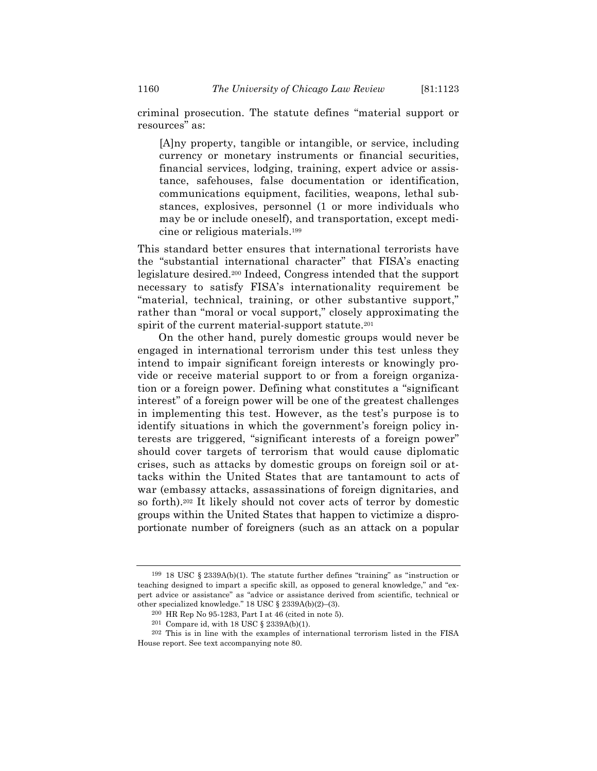criminal prosecution. The statute defines "material support or resources" as:

[A]ny property, tangible or intangible, or service, including currency or monetary instruments or financial securities, financial services, lodging, training, expert advice or assistance, safehouses, false documentation or identification, communications equipment, facilities, weapons, lethal substances, explosives, personnel (1 or more individuals who may be or include oneself), and transportation, except medicine or religious materials.199

This standard better ensures that international terrorists have the "substantial international character" that FISA's enacting legislature desired.200 Indeed, Congress intended that the support necessary to satisfy FISA's internationality requirement be "material, technical, training, or other substantive support," rather than "moral or vocal support," closely approximating the spirit of the current material-support statute.<sup>201</sup>

On the other hand, purely domestic groups would never be engaged in international terrorism under this test unless they intend to impair significant foreign interests or knowingly provide or receive material support to or from a foreign organization or a foreign power. Defining what constitutes a "significant interest" of a foreign power will be one of the greatest challenges in implementing this test. However, as the test's purpose is to identify situations in which the government's foreign policy interests are triggered, "significant interests of a foreign power" should cover targets of terrorism that would cause diplomatic crises, such as attacks by domestic groups on foreign soil or attacks within the United States that are tantamount to acts of war (embassy attacks, assassinations of foreign dignitaries, and so forth).202 It likely should not cover acts of terror by domestic groups within the United States that happen to victimize a disproportionate number of foreigners (such as an attack on a popular

<sup>&</sup>lt;sup>199</sup> 18 USC  $\S 2339A(b)(1)$ . The statute further defines "training" as "instruction or teaching designed to impart a specific skill, as opposed to general knowledge," and "expert advice or assistance" as "advice or assistance derived from scientific, technical or other specialized knowledge." 18 USC § 2339A(b)(2)–(3).

<sup>200</sup> HR Rep No 95-1283, Part I at 46 (cited in note 5).

<sup>201</sup> Compare id, with 18 USC § 2339A(b)(1).

<sup>202</sup> This is in line with the examples of international terrorism listed in the FISA House report. See text accompanying note 80.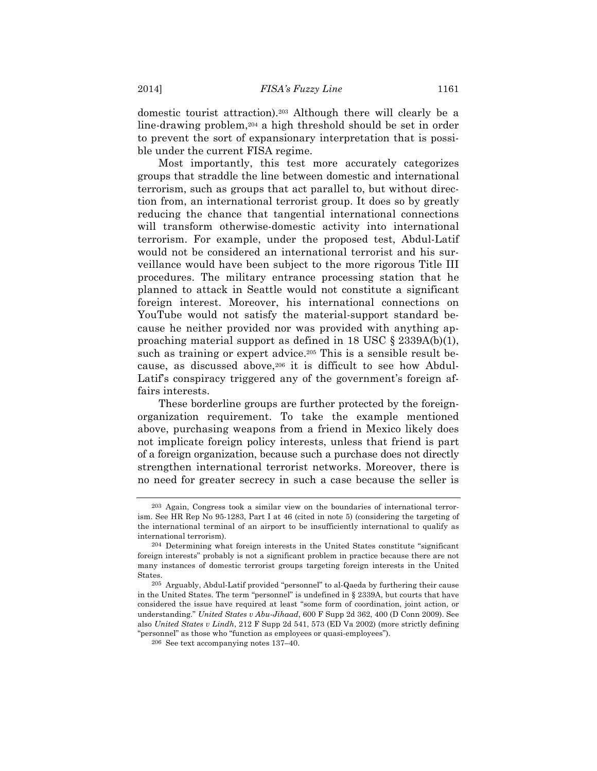domestic tourist attraction).203 Although there will clearly be a line-drawing problem,204 a high threshold should be set in order to prevent the sort of expansionary interpretation that is possible under the current FISA regime.

Most importantly, this test more accurately categorizes groups that straddle the line between domestic and international terrorism, such as groups that act parallel to, but without direction from, an international terrorist group. It does so by greatly reducing the chance that tangential international connections will transform otherwise-domestic activity into international terrorism. For example, under the proposed test, Abdul-Latif would not be considered an international terrorist and his surveillance would have been subject to the more rigorous Title III procedures. The military entrance processing station that he planned to attack in Seattle would not constitute a significant foreign interest. Moreover, his international connections on YouTube would not satisfy the material-support standard because he neither provided nor was provided with anything approaching material support as defined in 18 USC § 2339A(b)(1), such as training or expert advice.<sup>205</sup> This is a sensible result because, as discussed above,<sup>206</sup> it is difficult to see how Abdul-Latif's conspiracy triggered any of the government's foreign affairs interests.

These borderline groups are further protected by the foreignorganization requirement. To take the example mentioned above, purchasing weapons from a friend in Mexico likely does not implicate foreign policy interests, unless that friend is part of a foreign organization, because such a purchase does not directly strengthen international terrorist networks. Moreover, there is no need for greater secrecy in such a case because the seller is

<sup>203</sup> Again, Congress took a similar view on the boundaries of international terrorism. See HR Rep No 95-1283, Part I at 46 (cited in note 5) (considering the targeting of the international terminal of an airport to be insufficiently international to qualify as international terrorism).

<sup>204</sup> Determining what foreign interests in the United States constitute "significant foreign interests" probably is not a significant problem in practice because there are not many instances of domestic terrorist groups targeting foreign interests in the United States.

<sup>205</sup> Arguably, Abdul-Latif provided "personnel" to al-Qaeda by furthering their cause in the United States. The term "personnel" is undefined in § 2339A, but courts that have considered the issue have required at least "some form of coordination, joint action, or understanding." *United States v Abu-Jihaad*, 600 F Supp 2d 362, 400 (D Conn 2009). See also *United States v Lindh*, 212 F Supp 2d 541, 573 (ED Va 2002) (more strictly defining "personnel" as those who "function as employees or quasi-employees").

<sup>206</sup> See text accompanying notes 137–40.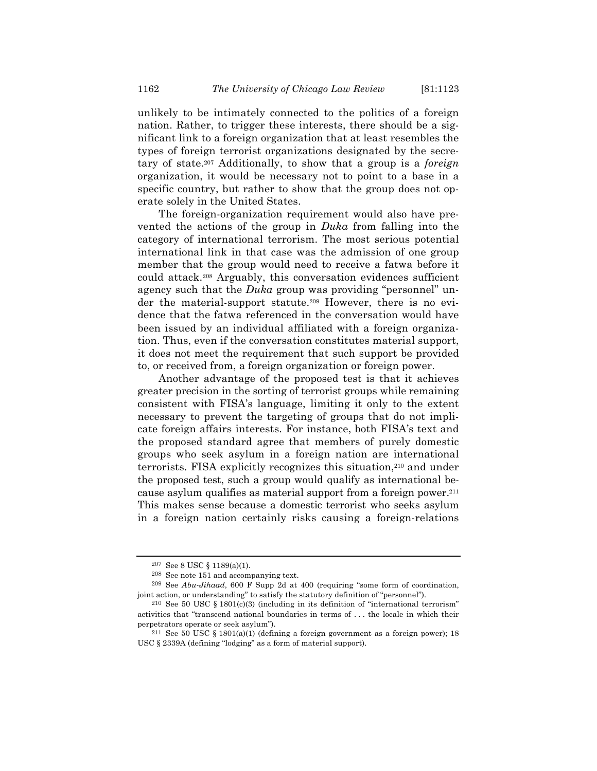unlikely to be intimately connected to the politics of a foreign nation. Rather, to trigger these interests, there should be a significant link to a foreign organization that at least resembles the types of foreign terrorist organizations designated by the secretary of state.207 Additionally, to show that a group is a *foreign* organization, it would be necessary not to point to a base in a specific country, but rather to show that the group does not operate solely in the United States.

The foreign-organization requirement would also have prevented the actions of the group in *Duka* from falling into the category of international terrorism. The most serious potential international link in that case was the admission of one group member that the group would need to receive a fatwa before it could attack.208 Arguably, this conversation evidences sufficient agency such that the *Duka* group was providing "personnel" under the material-support statute.209 However, there is no evidence that the fatwa referenced in the conversation would have been issued by an individual affiliated with a foreign organization. Thus, even if the conversation constitutes material support, it does not meet the requirement that such support be provided to, or received from, a foreign organization or foreign power.

Another advantage of the proposed test is that it achieves greater precision in the sorting of terrorist groups while remaining consistent with FISA's language, limiting it only to the extent necessary to prevent the targeting of groups that do not implicate foreign affairs interests. For instance, both FISA's text and the proposed standard agree that members of purely domestic groups who seek asylum in a foreign nation are international terrorists. FISA explicitly recognizes this situation,210 and under the proposed test, such a group would qualify as international because asylum qualifies as material support from a foreign power.211 This makes sense because a domestic terrorist who seeks asylum in a foreign nation certainly risks causing a foreign-relations

<sup>207</sup> See 8 USC § 1189(a)(1).

<sup>208</sup> See note 151 and accompanying text.

<sup>209</sup> See *Abu-Jihaad*, 600 F Supp 2d at 400 (requiring "some form of coordination, joint action, or understanding" to satisfy the statutory definition of "personnel").

<sup>&</sup>lt;sup>210</sup> See 50 USC  $\S$  1801(c)(3) (including in its definition of "international terrorism" activities that "transcend national boundaries in terms of . . . the locale in which their perpetrators operate or seek asylum").

<sup>&</sup>lt;sup>211</sup> See 50 USC § 1801(a)(1) (defining a foreign government as a foreign power); 18 USC § 2339A (defining "lodging" as a form of material support).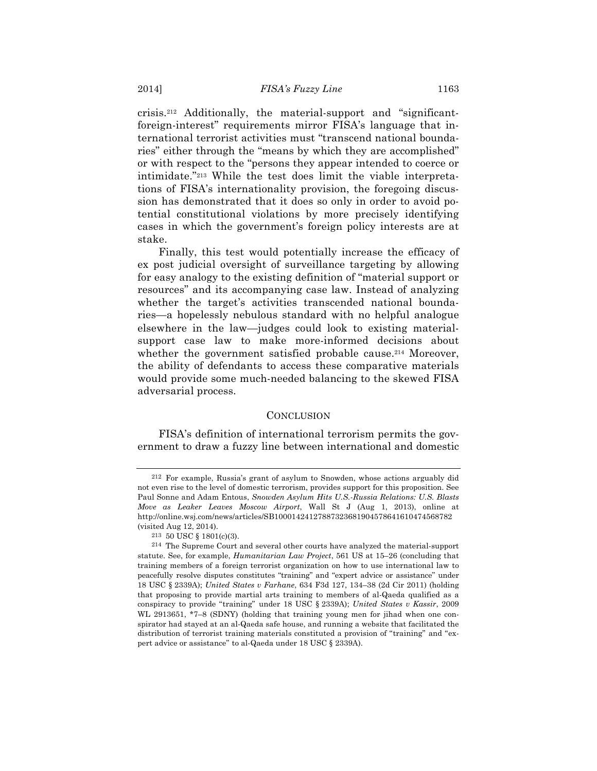crisis.212 Additionally, the material-support and "significantforeign-interest" requirements mirror FISA's language that international terrorist activities must "transcend national boundaries" either through the "means by which they are accomplished" or with respect to the "persons they appear intended to coerce or intimidate."213 While the test does limit the viable interpretations of FISA's internationality provision, the foregoing discussion has demonstrated that it does so only in order to avoid potential constitutional violations by more precisely identifying cases in which the government's foreign policy interests are at stake.

Finally, this test would potentially increase the efficacy of ex post judicial oversight of surveillance targeting by allowing for easy analogy to the existing definition of "material support or resources" and its accompanying case law. Instead of analyzing whether the target's activities transcended national boundaries—a hopelessly nebulous standard with no helpful analogue elsewhere in the law—judges could look to existing materialsupport case law to make more-informed decisions about whether the government satisfied probable cause.<sup>214</sup> Moreover, the ability of defendants to access these comparative materials would provide some much-needed balancing to the skewed FISA adversarial process.

#### **CONCLUSION**

FISA's definition of international terrorism permits the government to draw a fuzzy line between international and domestic

<sup>212</sup> For example, Russia's grant of asylum to Snowden, whose actions arguably did not even rise to the level of domestic terrorism, provides support for this proposition. See Paul Sonne and Adam Entous, *Snowden Asylum Hits U.S.-Russia Relations: U.S. Blasts Move as Leaker Leaves Moscow Airport*, Wall St J (Aug 1, 2013), online at http://online.wsj.com/news/articles/SB10001424127887323681904578641610474568782 (visited Aug 12, 2014).

<sup>213</sup> 50 USC § 1801(c)(3).

<sup>214</sup> The Supreme Court and several other courts have analyzed the material-support statute. See, for example, *Humanitarian Law Project*, 561 US at 15–26 (concluding that training members of a foreign terrorist organization on how to use international law to peacefully resolve disputes constitutes "training" and "expert advice or assistance" under 18 USC § 2339A); *United States v Farhane*, 634 F3d 127, 134–38 (2d Cir 2011) (holding that proposing to provide martial arts training to members of al-Qaeda qualified as a conspiracy to provide "training" under 18 USC § 2339A); *United States v Kassir*, 2009 WL 2913651, \*7–8 (SDNY) (holding that training young men for jihad when one conspirator had stayed at an al-Qaeda safe house, and running a website that facilitated the distribution of terrorist training materials constituted a provision of "training" and "expert advice or assistance" to al-Qaeda under 18 USC § 2339A).